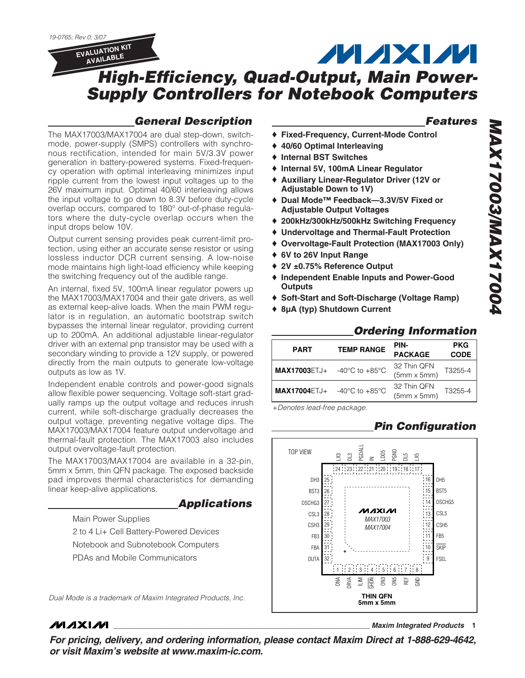

**AVAILABLE**

**MAXM** 

## **High-Efficiency, Quad-Output, Main Power-Supply Controllers for Notebook Computers**

### **General Description**

The MAX17003/MAX17004 are dual step-down, switchmode, power-supply (SMPS) controllers with synchronous rectification, intended for main 5V/3.3V power generation in battery-powered systems. Fixed-frequency operation with optimal interleaving minimizes input ripple current from the lowest input voltages up to the 26V maximum input. Optimal 40/60 interleaving allows the input voltage to go down to 8.3V before duty-cycle overlap occurs, compared to 180° out-of-phase regulators where the duty-cycle overlap occurs when the input drops below 10V.

Output current sensing provides peak current-limit protection, using either an accurate sense resistor or using lossless inductor DCR current sensing. A low-noise mode maintains high light-load efficiency while keeping the switching frequency out of the audible range.

An internal, fixed 5V, 100mA linear regulator powers up the MAX17003/MAX17004 and their gate drivers, as well as external keep-alive loads. When the main PWM regulator is in regulation, an automatic bootstrap switch bypasses the internal linear regulator, providing current up to 200mA. An additional adjustable linear-regulator driver with an external pnp transistor may be used with a secondary winding to provide a 12V supply, or powered directly from the main outputs to generate low-voltage outputs as low as 1V.

Independent enable controls and power-good signals allow flexible power sequencing. Voltage soft-start gradually ramps up the output voltage and reduces inrush current, while soft-discharge gradually decreases the output voltage, preventing negative voltage dips. The MAX17003/MAX17004 feature output undervoltage and thermal-fault protection. The MAX17003 also includes output overvoltage-fault protection.

The MAX17003/MAX17004 are available in a 32-pin, 5mm x 5mm, thin QFN package. The exposed backside pad improves thermal characteristics for demanding linear keep-alive applications.

**Applications**

Main Power Supplies

**MAXM** 

2 to 4 Li+ Cell Battery-Powered Devices Notebook and Subnotebook Computers PDAs and Mobile Communicators

Dual Mode is a trademark of Maxim Integrated Products, Inc.

### **Features**

**MAX17003/MAX17004**

217002/MAX17004

- **Fixed-Frequency, Current-Mode Control**
- ♦ **40/60 Optimal Interleaving**
- ♦ **Internal BST Switches**
- ♦ **Internal 5V, 100mA Linear Regulator**
- ♦ **Auxiliary Linear-Regulator Driver (12V or Adjustable Down to 1V)**
- ♦ **Dual Mode™ Feedback—3.3V/5V Fixed or Adjustable Output Voltages**
- ♦ **200kHz/300kHz/500kHz Switching Frequency**
- ♦ **Undervoltage and Thermal-Fault Protection**
- ♦ **Overvoltage-Fault Protection (MAX17003 Only)**
- ♦ **6V to 26V Input Range**
- ♦ **2V ±0.75% Reference Output**
- ♦ **Independent Enable Inputs and Power-Good Outputs**
- ♦ **Soft-Start and Soft-Discharge (Voltage Ramp)**
- ♦ **8µA (typ) Shutdown Current**

|                     |                                      | огченич штоппанон                 |                           |
|---------------------|--------------------------------------|-----------------------------------|---------------------------|
| <b>PART</b>         | <b>TEMP RANGE</b>                    | PIN-<br><b>PACKAGE</b>            | <b>PKG</b><br><b>CODE</b> |
| <b>MAX17003ETJ+</b> | -40 $^{\circ}$ C to +85 $^{\circ}$ C | 32 Thin QFN<br>$(5mm \times 5mm)$ | T3255-4                   |
| <b>MAX17004ETJ+</b> | -40 $^{\circ}$ C to +85 $^{\circ}$ C | 32 Thin QFN<br>$(5mm \times 5mm)$ | T3255-4                   |

+Denotes lead-free package.

### **Pin Configuration**



**\_\_\_\_\_\_\_\_\_\_\_\_\_\_\_\_\_\_\_\_\_\_\_\_\_\_\_\_\_\_\_\_\_\_\_\_\_\_\_\_\_\_\_\_\_\_\_\_\_\_\_\_\_\_\_\_\_\_\_\_\_\_\_\_ Maxim Integrated Products 1**

**For pricing, delivery, and ordering information, please contact Maxim Direct at 1-888-629-4642, or visit Maxim's website at www.maxim-ic.com.**

### **Ordering Information**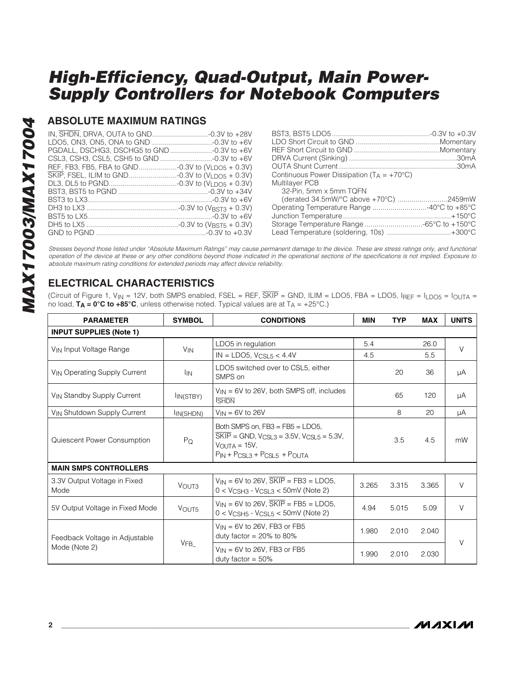### **ABSOLUTE MAXIMUM RATINGS**

| SKIP, FSEL, ILIM to GND-0.3V to (VLDO5 + 0.3V) |  |
|------------------------------------------------|--|
|                                                |  |
|                                                |  |
|                                                |  |
|                                                |  |
|                                                |  |
|                                                |  |
|                                                |  |

| Continuous Power Dissipation ( $T_A = +70^{\circ}C$ ) |  |
|-------------------------------------------------------|--|
| Multilayer PCB                                        |  |
| 32-Pin, 5mm x 5mm TQFN                                |  |
|                                                       |  |
| Operating Temperature Range 40°C to +85°C             |  |
|                                                       |  |
| Storage Temperature Range -65°C to +150°C             |  |
| Lead Temperature (soldering, 10s) +300°C              |  |
|                                                       |  |

Stresses beyond those listed under "Absolute Maximum Ratings" may cause permanent damage to the device. These are stress ratings only, and functional operation of the device at these or any other conditions beyond those indicated in the operational sections of the specifications is not implied. Exposure to absolute maximum rating conditions for extended periods may affect device reliability.

### **ELECTRICAL CHARACTERISTICS**

(Circuit of Figure 1, V<sub>IN</sub> = 12V, both SMPS enabled, FSEL = REF,  $\overline{\text{SKIP}}$  = GND, ILIM = LDO5, FBA = LDO5, IREF = I<sub>LDO5</sub> = I<sub>OUTA</sub> = no load,  $T_A = 0^\circ \text{C}$  to  $+85^\circ \text{C}$ , unless otherwise noted. Typical values are at  $T_A = +25^\circ \text{C}$ .)

| <b>PARAMETER</b>                         | <b>SYMBOL</b>          | <b>CONDITIONS</b>                                                                                                                                                                                        | <b>MIN</b> | <b>TYP</b> | <b>MAX</b> | <b>UNITS</b> |
|------------------------------------------|------------------------|----------------------------------------------------------------------------------------------------------------------------------------------------------------------------------------------------------|------------|------------|------------|--------------|
| <b>INPUT SUPPLIES (Note 1)</b>           |                        |                                                                                                                                                                                                          |            |            |            |              |
| V <sub>IN</sub> Input Voltage Range      |                        | LDO5 in regulation                                                                                                                                                                                       | 5.4        |            | 26.0       | $\vee$       |
|                                          | <b>V<sub>IN</sub></b>  | $IN = LDO5, VCSL5 < 4.4V$                                                                                                                                                                                | 4.5        |            | 5.5        |              |
| V <sub>IN</sub> Operating Supply Current | <b>I</b> IN            | LDO5 switched over to CSL5, either<br>SMPS on                                                                                                                                                            |            | 20         | 36         | μA           |
| V <sub>IN</sub> Standby Supply Current   | IN(STBY)               | $V_{IN}$ = 6V to 26V, both SMPS off, includes<br><b>SHDN</b>                                                                                                                                             |            | 65         | 120        | μA           |
| VIN Shutdown Supply Current              | I <sub>IN</sub> (SHDN) | $V_{IN} = 6V$ to 26V                                                                                                                                                                                     |            | 8          | 20         | μA           |
| Quiescent Power Consumption              | $P_Q$                  | Both SMPS on, $FB3 = FB5 = LDO5$ ,<br>$\overline{\text{SKIP}}$ = GND, $V_{\text{CSL3}}$ = 3.5V, $V_{\text{CSL5}}$ = 5.3V,<br>$V_{\text{OUTA}} = 15V,$<br>$P_{IN}$ + $P_{CSL3}$ + $P_{CSL5}$ + $P_{OUTA}$ |            | 3.5        | 4.5        | mW           |
| <b>MAIN SMPS CONTROLLERS</b>             |                        |                                                                                                                                                                                                          |            |            |            |              |
| 3.3V Output Voltage in Fixed<br>Mode     | VOUT <sub>3</sub>      | $V_{IN}$ = 6V to 26V, $\overline{SKIP}$ = FB3 = LDO5,<br>$0 < V_{\text{CSH3}}$ - $V_{\text{CSL3}} < 50$ mV (Note 2)                                                                                      | 3.265      | 3.315      | 3.365      | V            |
| 5V Output Voltage in Fixed Mode          | VOUT5                  | $V_{IN}$ = 6V to 26V, $\overline{SKIP}$ = FB5 = LDO5,<br>$0 < V_{CSH5}$ - $V_{CSL5} < 50$ mV (Note 2)                                                                                                    | 4.94       | 5.015      | 5.09       | V            |
| Feedback Voltage in Adjustable           |                        | $V_{IN}$ = 6V to 26V, FB3 or FB5<br>duty factor = $20\%$ to 80%                                                                                                                                          | 1.980      | 2.010      | 2.040      | V            |
| Mode (Note 2)                            | VFB                    | $V_{IN}$ = 6V to 26V, FB3 or FB5<br>duty factor = $50\%$                                                                                                                                                 | 1.990      | 2.010      | 2.030      |              |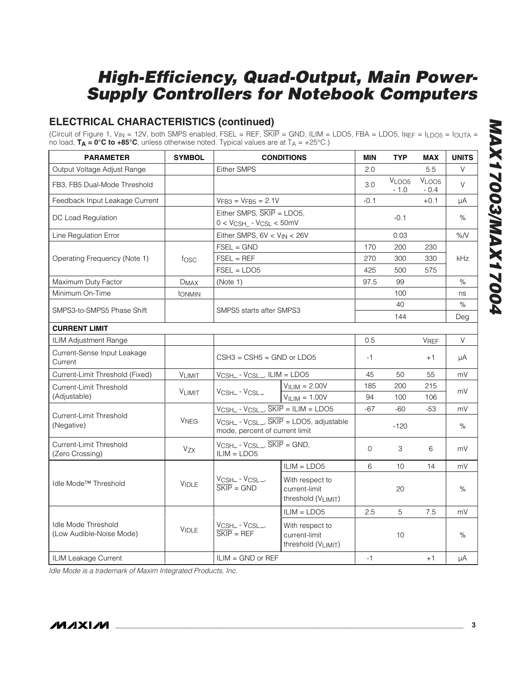### **ELECTRICAL CHARACTERISTICS (continued)**

(Circuit of Figure 1, V<sub>IN</sub> = 12V, both SMPS enabled, FSEL = REF, SKIP = GND, ILIM = LDO5, FBA = LDO5, IREF = ILDO5 = IOUTA = no load,  $T_A = 0^\circ C$  to  $+85^\circ C$ , unless otherwise noted. Typical values are at  $T_A = +25^\circ C$ .)

| <b>PARAMETER</b>                                       | <b>SYMBOL</b>          |                                                                              | <b>CONDITIONS</b>                                             | <b>MIN</b>   | <b>TYP</b>                  | <b>MAX</b>                  | <b>UNITS</b> |
|--------------------------------------------------------|------------------------|------------------------------------------------------------------------------|---------------------------------------------------------------|--------------|-----------------------------|-----------------------------|--------------|
| Output Voltage Adjust Range                            |                        | <b>Either SMPS</b>                                                           |                                                               | 2.0          |                             | 5.5                         | V            |
| FB3, FB5 Dual-Mode Threshold                           |                        |                                                                              |                                                               | 3.0          | V <sub>LOO5</sub><br>$-1.0$ | V <sub>LOO5</sub><br>$-0.4$ | $\vee$       |
| Feedback Input Leakage Current                         |                        | $VFB3 = VFB5 = 2.1V$                                                         |                                                               | $-0.1$       |                             | $+0.1$                      | μA           |
| DC Load Regulation                                     |                        | Either SMPS, SKIP = LDO5,<br>$0 < V_{\text{CSH}}$ - $V_{\text{CSL}} < 50$ mV |                                                               |              | $-0.1$                      |                             | $\%$         |
| Line Regulation Error                                  |                        | Either SMPS, 6V < VIN < 26V                                                  |                                                               |              | 0.03                        |                             | %N           |
|                                                        |                        | $FSEL = GND$                                                                 |                                                               | 170          | 200                         | 230                         |              |
| Operating Frequency (Note 1)                           | fosc                   | $FSEL = REF$                                                                 |                                                               | 270          | 300                         | 330                         | kHz          |
|                                                        |                        | $FSEL = LDO5$                                                                |                                                               | 425          | 500                         | 575                         |              |
| Maximum Duty Factor                                    | <b>DMAX</b>            | (Note 1)                                                                     |                                                               | 97.5         | 99                          |                             | $\%$         |
| Minimum On-Time                                        | tonmin                 |                                                                              |                                                               |              | 100                         |                             | ns           |
| SMPS3-to-SMPS5 Phase Shift                             |                        | SMPS5 starts after SMPS3                                                     |                                                               |              | 40                          |                             | $\%$         |
|                                                        |                        |                                                                              |                                                               |              | 144                         |                             | Deg          |
| <b>CURRENT LIMIT</b>                                   |                        |                                                                              |                                                               |              |                             |                             |              |
| ILIM Adjustment Range                                  |                        |                                                                              |                                                               | 0.5          |                             | VREF                        | V            |
| Current-Sense Input Leakage<br>Current                 |                        | $CSH3 = CSH5 = GND$ or LDO5                                                  |                                                               | $-1$         |                             | $+1$                        | μA           |
| Current-Limit Threshold (Fixed)                        | VLIMIT                 | $V_{CSH\_}$ - $V_{CSL\_}$ , ILIM = LDO5                                      |                                                               | 45           | 50                          | 55                          | mV           |
| Current-Limit Threshold                                | <b>VLIMIT</b>          | VCSH_ - VCSL_                                                                | $VILIM = 2.00V$                                               | 185          | 200                         | 215                         | mV           |
| (Adjustable)                                           |                        |                                                                              | $VILIM = 1.00V$                                               | 94           | 100                         | 106                         |              |
| Current-Limit Threshold                                |                        | $V_{CSH-}$ - $V_{CSL-}$ , $\overline{SKIP}$ = ILIM = LDO5                    |                                                               | $-67$        | $-60$                       | $-53$                       | mV           |
| (Negative)                                             | <b>V<sub>NEG</sub></b> | mode, percent of current limit                                               | $V_{CSHL}$ - $V_{CSL}$ , $\overline{SKIP}$ = LDO5, adjustable |              | $-120$                      |                             | $\%$         |
| Current-Limit Threshold<br>(Zero Crossing)             | $V_{ZX}$               | $V_{CSHL}$ - $V_{CSL}$ , $\overline{SKIP}$ = GND,<br>$ILIM = LDO5$           |                                                               | $\mathbf{O}$ | 3                           | 6                           | mV           |
|                                                        |                        |                                                                              | $ILIM = LDO5$                                                 | 6            | 10                          | 14                          | mV           |
| Idle Mode <sup>™</sup> Threshold                       | <b>VIDLE</b>           | VCSH_ - VCSL_,<br>$\overline{\text{SKIP}} = \text{GND}$                      | With respect to<br>current-limit<br>threshold (VLIMIT)        |              | 20                          |                             | %            |
|                                                        |                        |                                                                              | $ILIM = LDO5$                                                 | 2.5          | 5                           | 7.5                         | mV           |
| <b>Idle Mode Threshold</b><br>(Low Audible-Noise Mode) | <b>VIDLE</b>           | VCSH_ - VCSL_,<br>$\overline{\text{SKIP}}$ = REF                             | With respect to<br>current-limit<br>threshold (VLIMIT)        |              | 10                          |                             | $\%$         |
| ILIM Leakage Current                                   |                        | $ILIM = GND$ or REF                                                          |                                                               | $-1$         |                             | $+1$                        | μA           |

Idle Mode is a trademark of Maxim Integrated Products, Inc.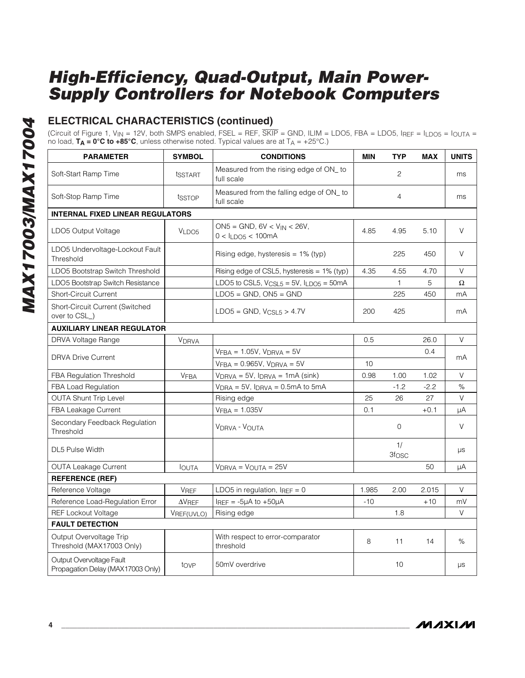### **ELECTRICAL CHARACTERISTICS (continued)**

(Circuit of Figure 1, V<sub>IN</sub> = 12V, both SMPS enabled, FSEL = REF,  $\overline{\text{SKIP}}$  = GND, ILIM = LDO5, FBA = LDO5, IREF = I<sub>LDO5</sub> = I<sub>OUTA</sub> = no load, **TA = 0°C to +85°C**, unless otherwise noted. Typical values are at TA = +25°C.)

| <b>PARAMETER</b>                                              | <b>SYMBOL</b>     | <b>CONDITIONS</b>                                                             | <b>MIN</b>   | <b>TYP</b>              | <b>MAX</b> | <b>UNITS</b> |
|---------------------------------------------------------------|-------------------|-------------------------------------------------------------------------------|--------------|-------------------------|------------|--------------|
| Soft-Start Ramp Time                                          | tsstart           | Measured from the rising edge of ON_to<br>full scale                          | $\mathbf{2}$ |                         | ms         |              |
| Soft-Stop Ramp Time                                           | tsstop            | Measured from the falling edge of ON_to<br>full scale                         |              | $\overline{4}$          |            | ms           |
| <b>INTERNAL FIXED LINEAR REGULATORS</b>                       |                   |                                                                               |              |                         |            |              |
| LDO5 Output Voltage                                           | VLDO <sub>5</sub> | $ON5 = GND$ , $6V < V_{IN} < 26V$ ,<br>4.85<br>4.95<br>$0 < I_{LDO5} < 100mA$ |              |                         | 5.10       | V            |
| LDO5 Undervoltage-Lockout Fault<br>Threshold                  |                   | Rising edge, hysteresis = $1\%$ (typ)                                         |              | 225                     | 450        | V            |
| LDO5 Bootstrap Switch Threshold                               |                   | Rising edge of CSL5, hysteresis = 1% (typ)                                    | 4.35         | 4.55                    | 4.70       | $\vee$       |
| LDO5 Bootstrap Switch Resistance                              |                   | LDO5 to CSL5, $VCSL5 = 5V$ , $ILDOS = 50mA$                                   |              | $\mathbf{1}$            | 5          | Ω            |
| <b>Short-Circuit Current</b>                                  |                   | $LDO5 = GND$ , $ON5 = GND$                                                    |              | 225                     | 450        | mA           |
| Short-Circuit Current (Switched<br>over to CSL_)              |                   | $LDO5 = GND, VCSL5 > 4.7V$                                                    | 200          | 425                     |            | mA           |
| <b>AUXILIARY LINEAR REGULATOR</b>                             |                   |                                                                               |              |                         |            |              |
| DRVA Voltage Range                                            | <b>VDRVA</b>      |                                                                               | 0.5          |                         | 26.0       | $\vee$       |
|                                                               |                   | $VFBA = 1.05V$ , $VDRVA = 5V$                                                 |              |                         | 0.4        |              |
| <b>DRVA Drive Current</b>                                     |                   | $VFBA = 0.965V$ , $VDRVA = 5V$                                                | 10           |                         |            | mA           |
| FBA Regulation Threshold                                      | <b>VFBA</b>       | $V_{DRVA} = 5V$ , $I_{DRVA} = 1mA$ (sink)                                     | 0.98         | 1.00                    | 1.02       | V            |
| FBA Load Regulation                                           |                   | $VDRA = 5V$ , $IDRVA = 0.5mA$ to $5mA$                                        |              | $-1.2$                  | $-2.2$     | $\%$         |
| <b>OUTA Shunt Trip Level</b>                                  |                   | Rising edge                                                                   | 25           | 26                      | 27         | $\vee$       |
| FBA Leakage Current                                           |                   | $VFBA = 1.035V$                                                               | 0.1          |                         | $+0.1$     | μA           |
| Secondary Feedback Regulation<br>Threshold                    |                   | VDRVA - VOUTA                                                                 |              | 0                       |            | V            |
| DL5 Pulse Width                                               |                   |                                                                               |              | 1/<br>3f <sub>OSC</sub> |            | $\mu s$      |
| <b>OUTA Leakage Current</b>                                   | <b>I</b> OUTA     | $V_{DRVA} = V_{OUTA} = 25V$                                                   |              |                         | 50         | μA           |
| <b>REFERENCE (REF)</b>                                        |                   |                                                                               |              |                         |            |              |
| Reference Voltage                                             | <b>VREF</b>       | LDO5 in regulation, $I_{REF} = 0$                                             | 1.985        | 2.00                    | 2.015      | $\vee$       |
| Reference Load-Regulation Error                               | $\Delta$ VREF     | $I_{REF} = -5\mu A$ to $+50\mu A$                                             | $-10$        |                         | $+10$      | mV           |
| <b>REF Lockout Voltage</b>                                    | VREF(UVLO)        | Rising edge                                                                   |              | 1.8                     |            | V            |
| <b>FAULT DETECTION</b>                                        |                   |                                                                               |              |                         |            |              |
| Output Overvoltage Trip<br>Threshold (MAX17003 Only)          |                   | With respect to error-comparator<br>threshold                                 | 8            | 11                      | 14         | %            |
| Output Overvoltage Fault<br>Propagation Delay (MAX17003 Only) | tove              | 50mV overdrive                                                                |              | 10                      |            | $\mu s$      |

**MAXIM**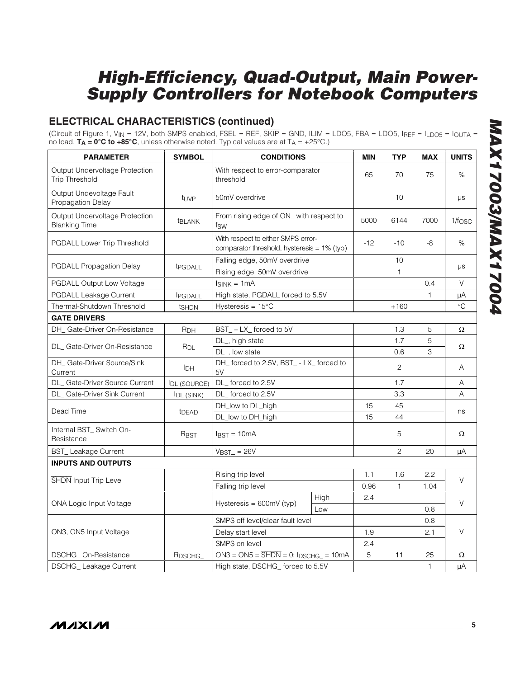### **ELECTRICAL CHARACTERISTICS (continued)**

(Circuit of Figure 1, VIN = 12V, both SMPS enabled, FSEL = REF, SKIP = GND, ILIM = LDO5, FBA = LDO5, IREF = ILDO5 = IOUTA = no load, **TA = 0°C to +85°C**, unless otherwise noted. Typical values are at TA = +25°C.)

| <b>PARAMETER</b>                                        | <b>SYMBOL</b>       | <b>CONDITIONS</b>                                                                 |      | <b>MIN</b> | <b>TYP</b>         | <b>MAX</b>   | <b>UNITS</b>         |
|---------------------------------------------------------|---------------------|-----------------------------------------------------------------------------------|------|------------|--------------------|--------------|----------------------|
| Output Undervoltage Protection<br><b>Trip Threshold</b> |                     | With respect to error-comparator<br>threshold                                     |      | 65         | 70                 | 75           | %                    |
| Output Undevoltage Fault<br>Propagation Delay           | tuve                | 50mV overdrive                                                                    |      |            | 10                 |              | μs                   |
| Output Undervoltage Protection<br><b>Blanking Time</b>  | <b>t</b> BLANK      | From rising edge of ON_ with respect to<br>tsw                                    |      | 5000       | 6144               | 7000         | $1/f$ <sub>OSC</sub> |
| PGDALL Lower Trip Threshold                             |                     | With respect to either SMPS error-<br>comparator threshold, hysteresis = 1% (typ) |      | $-12$      | $-10$              | $-8$         | %                    |
| <b>PGDALL Propagation Delay</b>                         | t <sub>PGDALL</sub> | Falling edge, 50mV overdrive<br>Rising edge, 50mV overdrive                       |      |            | 10<br>$\mathbf{1}$ |              | μs                   |
| PGDALL Output Low Voltage                               |                     | $I_{SINK} = 1mA$                                                                  |      |            |                    | 0.4          | V                    |
| PGDALL Leakage Current                                  | <b>IPGDALL</b>      | High state, PGDALL forced to 5.5V                                                 |      |            |                    | 1            | μA                   |
| Thermal-Shutdown Threshold                              | ts <sub>HDN</sub>   | Hysteresis = $15^{\circ}$ C                                                       |      |            | $+160$             |              | $^{\circ}C$          |
| <b>GATE DRIVERS</b>                                     |                     |                                                                                   |      |            |                    |              |                      |
| DH_ Gate-Driver On-Resistance                           | R <sub>DH</sub>     | BST_-LX_forced to 5V                                                              |      |            | 1.3                | 5            | Ω                    |
| DL_Gate-Driver On-Resistance                            |                     | DL_, high state                                                                   |      |            | 1.7                | 5            |                      |
|                                                         | $R_{DL}$            | DL_, low state                                                                    |      |            | 0.6                | 3            | Ω                    |
| DH_ Gate-Driver Source/Sink<br>Current                  | <b>I</b> DH         | DH_ forced to 2.5V, BST_ - LX_ forced to<br>5V                                    |      |            | $\overline{c}$     |              | A                    |
| DL_Gate-Driver Source Current                           | <b>IDL (SOURCE)</b> | DL forced to 2.5V                                                                 |      |            | 1.7                |              | Α                    |
| DL_Gate-Driver Sink Current                             | IDL (SINK)          | DL_forced to 2.5V                                                                 |      |            | 3.3                |              | Α                    |
|                                                         |                     | DH_low to DL_high                                                                 |      | 15         | 45                 |              |                      |
| Dead Time                                               | t <sub>DEAD</sub>   | DL_low to DH_high                                                                 |      | 15         | 44                 |              | ns                   |
| Internal BST_ Switch On-<br>Resistance                  | R <sub>BST</sub>    | $IBST = 10mA$                                                                     |      |            | 5                  |              | Ω                    |
| <b>BST_Leakage Current</b>                              |                     | $VBST = 26V$                                                                      |      |            | $\overline{c}$     | 20           | μA                   |
| <b>INPUTS AND OUTPUTS</b>                               |                     |                                                                                   |      |            |                    |              |                      |
|                                                         |                     | Rising trip level                                                                 |      | 1.1        | 1.6                | 2.2          |                      |
| SHDN Input Trip Level                                   |                     | Falling trip level                                                                |      | 0.96       | $\mathbf{1}$       | 1.04         | V                    |
|                                                         |                     |                                                                                   | High | 2.4        |                    |              |                      |
| ONA Logic Input Voltage                                 |                     | Hysteresis = $600mV$ (typ)                                                        | Low  |            |                    | 0.8          | $\vee$               |
|                                                         |                     | SMPS off level/clear fault level                                                  |      |            |                    | 0.8          |                      |
| ON3, ON5 Input Voltage                                  |                     | Delay start level                                                                 |      | 1.9        |                    | 2.1          | V                    |
|                                                         |                     | SMPS on level                                                                     |      | 2.4        |                    |              |                      |
| DSCHG_On-Resistance                                     | R <sub>DSCHG</sub>  | $ON3 = ON5 = \overline{SHDN} = 0; IDSCHG_ = 10mA$                                 |      | 5          | 11                 | 25           | Ω                    |
| DSCHG_Leakage Current                                   |                     | High state, DSCHG_forced to 5.5V                                                  |      |            |                    | $\mathbf{1}$ | μA                   |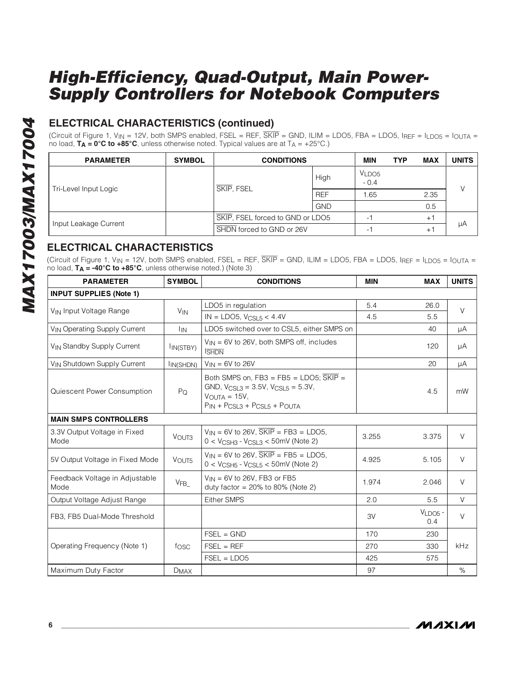### **ELECTRICAL CHARACTERISTICS (continued)**

(Circuit of Figure 1,  $V_{IN}$  = 12V, both SMPS enabled, FSEL = REF,  $\overline{SKIP}$  = GND, ILIM = LDO5, FBA = LDO5, IREF = ILDO5 = IOUTA = no load,  $T_A = 0^\circ \text{C}$  to  $+85^\circ \text{C}$ , unless otherwise noted. Typical values are at  $T_A = +25^\circ \text{C}$ .)

| <b>PARAMETER</b>      | <b>SYMBOL</b> | <b>CONDITIONS</b>                |            | <b>MIN</b>                  | <b>TYP</b> | <b>MAX</b>                   | <b>UNITS</b> |
|-----------------------|---------------|----------------------------------|------------|-----------------------------|------------|------------------------------|--------------|
| Tri-Level Input Logic |               |                                  | High       | VLDO <sub>5</sub><br>$-0.4$ |            |                              | $\sqrt{}$    |
|                       |               | SKIP, FSEL                       | <b>REF</b> | .65                         |            | 2.35                         |              |
|                       |               |                                  | <b>GND</b> |                             |            | 0.5                          |              |
| Input Leakage Current |               | SKIP, FSEL forced to GND or LDO5 |            | ۰.                          |            | $+1$                         |              |
|                       |               | SHDN forced to GND or 26V        |            | ۰.                          |            | $+$ $\overline{\phantom{0}}$ | μA           |

### **ELECTRICAL CHARACTERISTICS**

(Circuit of Figure 1, V<sub>IN</sub> = 12V, both SMPS enabled, FSEL = REF,  $\overline{\text{SKIP}}$  = GND, ILIM = LDO5, FBA = LDO5, IREF = I<sub>LDO5</sub> = I<sub>OUTA</sub> = no load, **TA = -40°C to +85°C**, unless otherwise noted.) (Note 3)

| <b>PARAMETER</b>                        | <b>SYMBOL</b>          | <b>CONDITIONS</b>                                                                                                                                                    | <b>MIN</b> | <b>MAX</b>       | <b>UNITS</b> |
|-----------------------------------------|------------------------|----------------------------------------------------------------------------------------------------------------------------------------------------------------------|------------|------------------|--------------|
| <b>INPUT SUPPLIES (Note 1)</b>          |                        |                                                                                                                                                                      |            |                  |              |
|                                         |                        | LDO5 in regulation                                                                                                                                                   | 5.4        | 26.0             |              |
| V <sub>IN</sub> Input Voltage Range     | <b>V<sub>IN</sub></b>  | $IN = LDO5, V_{CSI,5} < 4.4V$                                                                                                                                        | 4.5        | 5.5              | $\vee$       |
| <b>VIN Operating Supply Current</b>     | <b>I</b> IN            | LDO5 switched over to CSL5, either SMPS on                                                                                                                           |            | 40               | μA           |
| V <sub>IN</sub> Standby Supply Current  | I <sub>IN</sub> (STBY) | $V_{IN}$ = 6V to 26V, both SMPS off, includes<br><b>SHDN</b>                                                                                                         |            | 120              | μA           |
| V <sub>IN</sub> Shutdown Supply Current | IIN(SHDN)              | $V_{IN} = 6V$ to 26V                                                                                                                                                 |            | 20               | μA           |
| Quiescent Power Consumption             | $P_Q$                  | Both SMPS on, $FB3 = FB5 = LDO5$ ; $\overline{SKIP} =$<br>GND, $V_{CSL3} = 3.5V$ , $V_{CSL5} = 5.3V$ ,<br>$V_{\text{OUTA}} = 15V$ ,<br>$PIN + PCSL3 + PCSL5 + POUTA$ |            | 4.5              | mW           |
| <b>MAIN SMPS CONTROLLERS</b>            |                        |                                                                                                                                                                      |            |                  |              |
| 3.3V Output Voltage in Fixed<br>Mode    | VOUT <sub>3</sub>      | $V_{IN}$ = 6V to 26V, $\overline{\text{SKIP}}$ = FB3 = LDO5,<br>$0 < V_{CSH3} - V_{CSL3} < 50$ mV (Note 2)                                                           | 3.255      | 3.375            | $\vee$       |
| 5V Output Voltage in Fixed Mode         | VOUT5                  | $V_{IN}$ = 6V to 26V, $\overline{\text{SKIP}}$ = FB5 = LDO5,<br>$0 < V_{CSH5} - V_{CSL5} < 50$ mV (Note 2)                                                           | 4.925      | 5.105            | $\vee$       |
| Feedback Voltage in Adjustable<br>Mode  | VFB                    | $V_{IN}$ = 6V to 26V, FB3 or FB5<br>duty factor = $20\%$ to 80% (Note 2)                                                                                             | 1.974      | 2.046            | $\vee$       |
| Output Voltage Adjust Range             |                        | <b>Either SMPS</b>                                                                                                                                                   | 2.0        | 5.5              | $\vee$       |
| FB3, FB5 Dual-Mode Threshold            |                        |                                                                                                                                                                      | 3V         | $VLDOS -$<br>0.4 | $\vee$       |
|                                         |                        | $FSEL = GND$                                                                                                                                                         | 170        | 230              |              |
| Operating Frequency (Note 1)            | fosc                   | $FSEL = REF$                                                                                                                                                         | 270        | 330              | kHz          |
|                                         |                        | $FSEL = LDO5$                                                                                                                                                        | 425        | 575              |              |
| Maximum Duty Factor                     | $D_{MAX}$              |                                                                                                                                                                      | 97         |                  | $\%$         |

**MAXIM**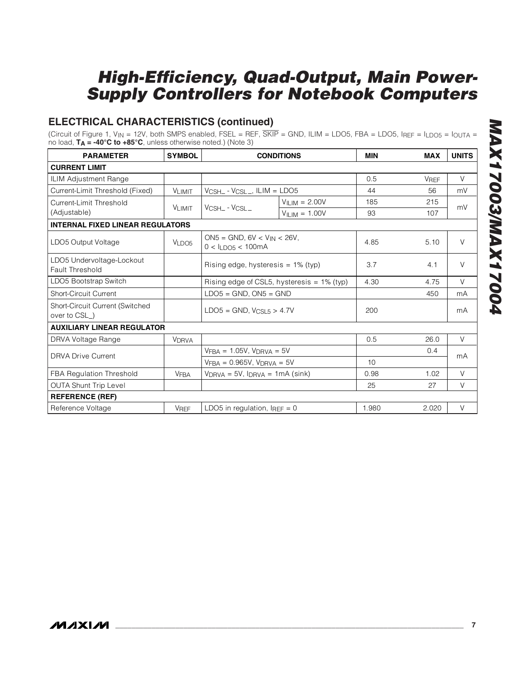### **ELECTRICAL CHARACTERISTICS (continued)**

(Circuit of Figure 1, V<sub>IN</sub> = 12V, both SMPS enabled, FSEL = REF,  $\overline{\text{SKIP}}$  = GND, ILIM = LDO5, FBA = LDO5, IREF = I<sub>LDO5</sub> = I<sub>OUTA</sub> = no load, **TA = -40°C to +85°C**, unless otherwise noted.) (Note 3)

| <b>PARAMETER</b>                                       | <b>SYMBOL</b> | <b>CONDITIONS</b>                                             |                                           | <b>MIN</b> | <b>MAX</b>  | <b>UNITS</b> |
|--------------------------------------------------------|---------------|---------------------------------------------------------------|-------------------------------------------|------------|-------------|--------------|
| <b>CURRENT LIMIT</b>                                   |               |                                                               |                                           |            |             |              |
| <b>ILIM Adjustment Range</b>                           |               |                                                               |                                           | 0.5        | <b>VREF</b> | $\vee$       |
| Current-Limit Threshold (Fixed)                        | <b>VLIMIT</b> | $V_{CSH-}$ - $V_{CSL-}$ , ILIM = LDO5                         |                                           | 44         | 56          | mV           |
| Current-Limit Threshold                                | <b>VLIMIT</b> | VCSH_ - VCSL_                                                 | $VII IM = 2.00V$                          | 185        | 215         | mV           |
| (Adjustable)                                           |               |                                                               | $V_{II IM} = 1.00V$                       | 93         | 107         |              |
| <b>INTERNAL FIXED LINEAR REGULATORS</b>                |               |                                                               |                                           |            |             |              |
| LDO5 Output Voltage                                    | VLDOS         | $ON5 = GND$ , $6V < V_{IN} < 26V$ ,<br>$0 < I_{LDOS} < 100mA$ |                                           | 4.85       | 5.10        | $\vee$       |
| LDO5 Undervoltage-Lockout<br>Fault Threshold           |               | Rising edge, hysteresis $= 1\%$ (typ)                         |                                           | 3.7        | 4.1         | $\vee$       |
| LDO5 Bootstrap Switch                                  |               | Rising edge of CSL5, hysteresis = 1% (typ)                    |                                           | 4.30       | 4.75        | $\vee$       |
| <b>Short-Circuit Current</b>                           |               | $LDO5 = GND$ , $ON5 = GND$                                    |                                           |            | 450         | mA           |
| <b>Short-Circuit Current (Switched</b><br>over to CSL) |               | $LDO5 = GND$ , $V_{CSL5} > 4.7V$                              |                                           | 200        |             | mA           |
| <b>AUXILIARY LINEAR REGULATOR</b>                      |               |                                                               |                                           |            |             |              |
| DRVA Voltage Range                                     | <b>VDRVA</b>  |                                                               |                                           | 0.5        | 26.0        | $\vee$       |
| <b>DRVA Drive Current</b>                              |               | $VFBA = 1.05V$ , $VDRVA = 5V$                                 |                                           |            | 0.4         | mA           |
|                                                        |               | $VFBA = 0.965V$ , $VDRVA = 5V$                                |                                           | 10         |             |              |
| FBA Regulation Threshold                               | <b>VFBA</b>   |                                                               | $V_{DRVA} = 5V$ , $I_{DRVA} = 1mA$ (sink) |            | 1.02        | $\vee$       |
| <b>OUTA Shunt Trip Level</b>                           |               |                                                               |                                           | 25         | 27          | $\vee$       |
| <b>REFERENCE (REF)</b>                                 |               |                                                               |                                           |            |             |              |
| Reference Voltage                                      | <b>VREF</b>   | LDO5 in regulation, $I_{\text{REF}} = 0$                      |                                           | 1.980      | 2.020       | $\vee$       |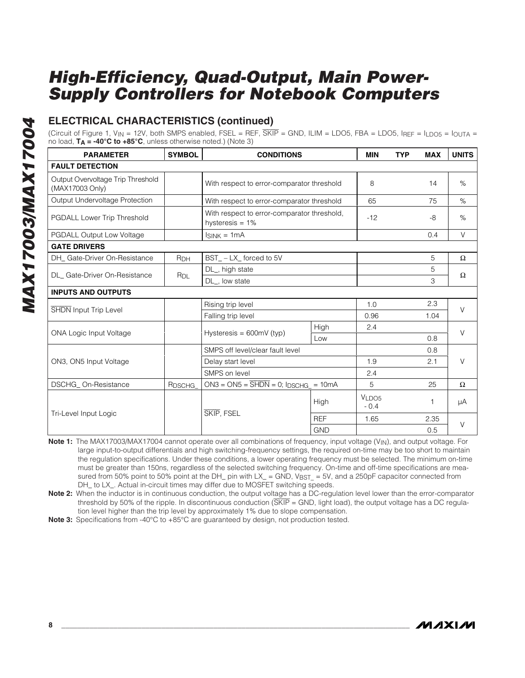### **ELECTRICAL CHARACTERISTICS (continued)**

(Circuit of Figure 1, V<sub>IN</sub> = 12V, both SMPS enabled, FSEL = REF,  $\overline{\text{SKIP}}$  = GND, ILIM = LDO5, FBA = LDO5, IRFF = I<sub>LDO5</sub> =  $I_{\text{OUTA}}$  = no load, **TA = -40°C to +85°C**, unless otherwise noted.) (Note 3)

| <b>PARAMETER</b>                                     | <b>SYMBOL</b>      | <b>CONDITIONS</b>                                                 |            | <b>MIN</b>      | <b>TYP</b> | <b>MAX</b> | <b>UNITS</b> |  |
|------------------------------------------------------|--------------------|-------------------------------------------------------------------|------------|-----------------|------------|------------|--------------|--|
| <b>FAULT DETECTION</b>                               |                    |                                                                   |            |                 |            |            |              |  |
| Output Overvoltage Trip Threshold<br>(MAX17003 Only) |                    | With respect to error-comparator threshold                        |            | 8               |            | 14         | %            |  |
| Output Undervoltage Protection                       |                    | With respect to error-comparator threshold                        |            | 65              |            | 75         | $\%$         |  |
| PGDALL Lower Trip Threshold                          |                    | With respect to error-comparator threshold,<br>hysteresis = $1\%$ |            | $-12$           |            | $-8$       | %            |  |
| PGDALL Output Low Voltage                            |                    | $I_{SINK} = 1mA$                                                  |            |                 |            | 0.4        | $\vee$       |  |
| <b>GATE DRIVERS</b>                                  |                    |                                                                   |            |                 |            |            |              |  |
| DH_ Gate-Driver On-Resistance                        | R <sub>DH</sub>    | BST_-LX_forced to 5V                                              |            |                 |            | 5          | Ω            |  |
| DL Gate-Driver On-Resistance                         |                    | DL_, high state                                                   |            |                 |            | 5          | $\Omega$     |  |
|                                                      | R <sub>DL</sub>    | DL_, low state                                                    |            |                 |            | 3          |              |  |
| <b>INPUTS AND OUTPUTS</b>                            |                    |                                                                   |            |                 |            |            |              |  |
|                                                      |                    | Rising trip level<br>Falling trip level                           |            | 1.0             |            | 2.3        | $\vee$       |  |
| <b>SHDN</b> Input Trip Level                         |                    |                                                                   |            | 0.96            |            | 1.04       |              |  |
| <b>ONA Logic Input Voltage</b>                       |                    |                                                                   | High       | 2.4             |            |            | $\vee$       |  |
|                                                      |                    | Hysteresis = $600mV$ (typ)                                        | Low        |                 |            | 0.8        |              |  |
|                                                      |                    | SMPS off level/clear fault level                                  |            |                 |            | 0.8        |              |  |
| ON3, ON5 Input Voltage                               |                    | Delay start level                                                 |            | 1.9             |            | 2.1        | $\vee$       |  |
|                                                      |                    | SMPS on level                                                     |            | 2.4             |            |            |              |  |
| DSCHG On-Resistance                                  | R <sub>DSCHG</sub> | $ON3 = ON5 = \overline{SHDN} = 0$ ; IDSCHG = 10mA                 |            | 5               |            | 25         | $\Omega$     |  |
|                                                      |                    |                                                                   | High       | VLDO5<br>$-0.4$ |            |            | μA           |  |
| Tri-Level Input Logic                                |                    | SKIP, FSEL                                                        | <b>REF</b> | 1.65            |            | 2.35       |              |  |
|                                                      |                    |                                                                   | <b>GND</b> |                 |            | 0.5        | V            |  |

**Note 1:** The MAX17003/MAX17004 cannot operate over all combinations of frequency, input voltage (VIN), and output voltage. For large input-to-output differentials and high switching-frequency settings, the required on-time may be too short to maintain the regulation specifications. Under these conditions, a lower operating frequency must be selected. The minimum on-time must be greater than 150ns, regardless of the selected switching frequency. On-time and off-time specifications are measured from 50% point to 50% point at the DH\_ pin with LX\_ = GND, VBST\_ = 5V, and a 250pF capacitor connected from DH\_ to LX\_. Actual in-circuit times may differ due to MOSFET switching speeds.

**Note 2:** When the inductor is in continuous conduction, the output voltage has a DC-regulation level lower than the error-comparator threshold by 50% of the ripple. In discontinuous conduction  $(SKIP = GND$ , light load), the output voltage has a DC regulation level higher than the trip level by approximately 1% due to slope compensation.

**Note 3:** Specifications from -40°C to +85°C are guaranteed by design, not production tested.

**MAXKM**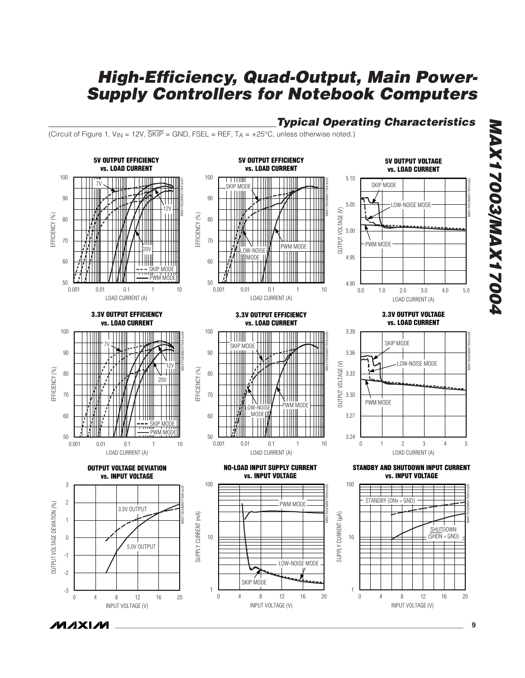### **Typical Operating Characteristics**

(Circuit of Figure 1,  $V_{IN}$  = 12V,  $\overline{\text{SKIP}}$  = GND, FSEL = REF,  $T_A$  = +25°C, unless otherwise noted.)

*IVI A* XI*IV*I



**MAX17003/MAX17004** 2007 | XAM/2007 | XAM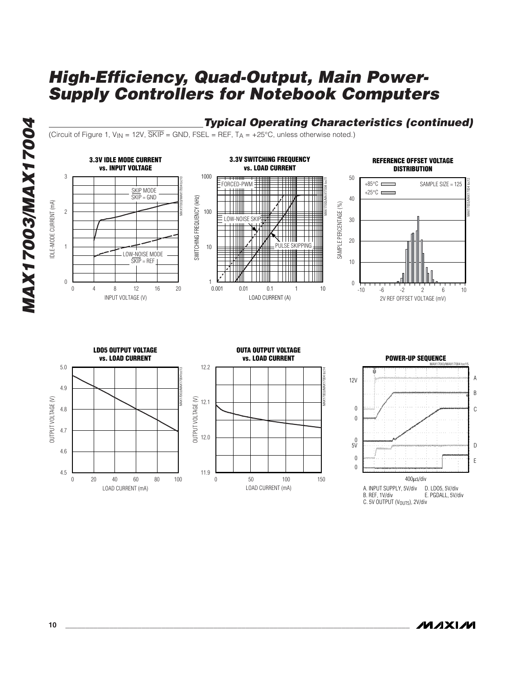**Typical Operating Characteristics (continued)**

MAX17003/MAX17004 toc14

(Circuit of Figure 1,  $V_{IN}$  = 12V,  $\overline{SKIP}$  = GND, FSEL = REF,  $T_A$  = +25°C, unless otherwise noted.)





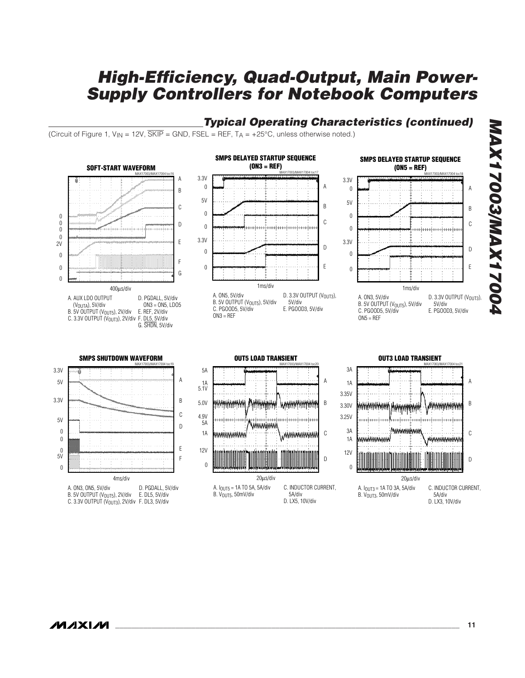### **Typical Operating Characteristics (continued)**

(Circuit of Figure 1,  $V_{IN}$  = 12V,  $\overline{SKIP}$  = GND, FSEL = REF,  $T_A$  = +25°C, unless otherwise noted.)

/VI/IXI/VI

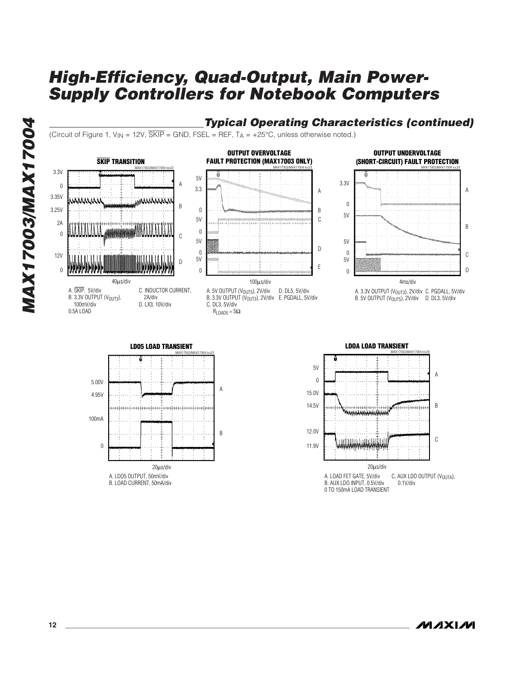### **Typical Operating Characteristics (continued)**

(Circuit of Figure 1,  $V_{\text{IN}} = 12V$ ,  $\overline{\text{SKIP}} = \text{GND}$ ,  $\text{FSEL} = \text{REF}$ ,  $T_A = +25^{\circ}\text{C}$ , unless otherwise noted.)









20μs/div A. LOAD FET GATE, 5V/div B. AUX LDO INPUT, 0.5V/div 0 TO 150mA LOAD TRANSIENT C. AUX LDO OUTPUT (VOUTA), 0.1V/div

B

C D

A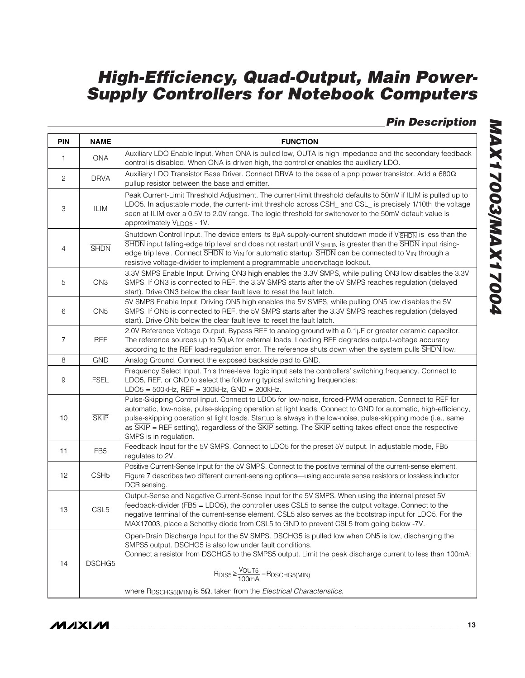**Pin Description**

| <b>PIN</b>     | <b>NAME</b>      | <b>FUNCTION</b>                                                                                                                                                                                                                                                                                                                                                                                                                                                               |
|----------------|------------------|-------------------------------------------------------------------------------------------------------------------------------------------------------------------------------------------------------------------------------------------------------------------------------------------------------------------------------------------------------------------------------------------------------------------------------------------------------------------------------|
| 1              | <b>ONA</b>       | Auxiliary LDO Enable Input. When ONA is pulled low, OUTA is high impedance and the secondary feedback<br>control is disabled. When ONA is driven high, the controller enables the auxiliary LDO.                                                                                                                                                                                                                                                                              |
| 2              | <b>DRVA</b>      | Auxiliary LDO Transistor Base Driver. Connect DRVA to the base of a pnp power transistor. Add a 680 $\Omega$<br>pullup resistor between the base and emitter.                                                                                                                                                                                                                                                                                                                 |
| 3              | ILIM             | Peak Current-Limit Threshold Adjustment. The current-limit threshold defaults to 50mV if ILIM is pulled up to<br>LDO5. In adjustable mode, the current-limit threshold across CSH_ and CSL_ is precisely 1/10th the voltage<br>seen at ILIM over a 0.5V to 2.0V range. The logic threshold for switchover to the 50mV default value is<br>approximately VLDO5 - 1V.                                                                                                           |
| 4              | <b>SHDN</b>      | Shutdown Control Input. The device enters its 8µA supply-current shutdown mode if V <sub>SHDN</sub> is less than the<br>SHDN input falling-edge trip level and does not restart until VSHDN is greater than the SHDN input rising-<br>edge trip level. Connect SHDN to V <sub>IN</sub> for automatic startup. SHDN can be connected to V <sub>IN</sub> through a<br>resistive voltage-divider to implement a programmable undervoltage lockout.                               |
| 5              | ON <sub>3</sub>  | 3.3V SMPS Enable Input. Driving ON3 high enables the 3.3V SMPS, while pulling ON3 low disables the 3.3V<br>SMPS. If ON3 is connected to REF, the 3.3V SMPS starts after the 5V SMPS reaches regulation (delayed<br>start). Drive ON3 below the clear fault level to reset the fault latch.                                                                                                                                                                                    |
| 6              | ON <sub>5</sub>  | 5V SMPS Enable Input. Driving ON5 high enables the 5V SMPS, while pulling ON5 low disables the 5V<br>SMPS. If ON5 is connected to REF, the 5V SMPS starts after the 3.3V SMPS reaches regulation (delayed<br>start). Drive ON5 below the clear fault level to reset the fault latch.                                                                                                                                                                                          |
| $\overline{7}$ | REF              | 2.0V Reference Voltage Output. Bypass REF to analog ground with a 0.1µF or greater ceramic capacitor.<br>The reference sources up to 50µA for external loads. Loading REF degrades output-voltage accuracy<br>according to the REF load-regulation error. The reference shuts down when the system pulls SHDN low.                                                                                                                                                            |
| 8              | <b>GND</b>       | Analog Ground. Connect the exposed backside pad to GND.                                                                                                                                                                                                                                                                                                                                                                                                                       |
| 9              | <b>FSEL</b>      | Frequency Select Input. This three-level logic input sets the controllers' switching frequency. Connect to<br>LDO5, REF, or GND to select the following typical switching frequencies:<br>$LDO5 = 500$ kHz, REF = 300kHz, GND = 200kHz.                                                                                                                                                                                                                                       |
| 10             | <b>SKIP</b>      | Pulse-Skipping Control Input. Connect to LDO5 for low-noise, forced-PWM operation. Connect to REF for<br>automatic, low-noise, pulse-skipping operation at light loads. Connect to GND for automatic, high-efficiency,<br>pulse-skipping operation at light loads. Startup is always in the low-noise, pulse-skipping mode (i.e., same<br>as SKIP = REF setting), regardless of the SKIP setting. The SKIP setting takes effect once the respective<br>SMPS is in regulation. |
| 11             | FB <sub>5</sub>  | Feedback Input for the 5V SMPS. Connect to LDO5 for the preset 5V output. In adjustable mode, FB5<br>regulates to 2V.                                                                                                                                                                                                                                                                                                                                                         |
| 12             | CSH <sub>5</sub> | Positive Current-Sense Input for the 5V SMPS. Connect to the positive terminal of the current-sense element.<br>Figure 7 describes two different current-sensing options-using accurate sense resistors or lossless inductor<br>DCR sensing.                                                                                                                                                                                                                                  |
| 13             | CSL <sub>5</sub> | Output-Sense and Negative Current-Sense Input for the 5V SMPS. When using the internal preset 5V<br>feedback-divider (FB5 = LDO5), the controller uses CSL5 to sense the output voltage. Connect to the<br>negative terminal of the current-sense element. CSL5 also serves as the bootstrap input for LDO5. For the<br>MAX17003, place a Schottky diode from CSL5 to GND to prevent CSL5 from going below -7V.                                                               |
| 14             | DSCHG5           | Open-Drain Discharge Input for the 5V SMPS. DSCHG5 is pulled low when ON5 is low, discharging the<br>SMPS5 output. DSCHG5 is also low under fault conditions.<br>Connect a resistor from DSCHG5 to the SMPS5 output. Limit the peak discharge current to less than 100mA:<br>$R_{DIS5} \geq \frac{V_{OUT5}}{100mA} - R_{DSCHG5(MIN)}$<br>where $R_{DSCHGS(MIN)}$ is 5 $\Omega$ , taken from the <i>Electrical Characteristics</i> .                                           |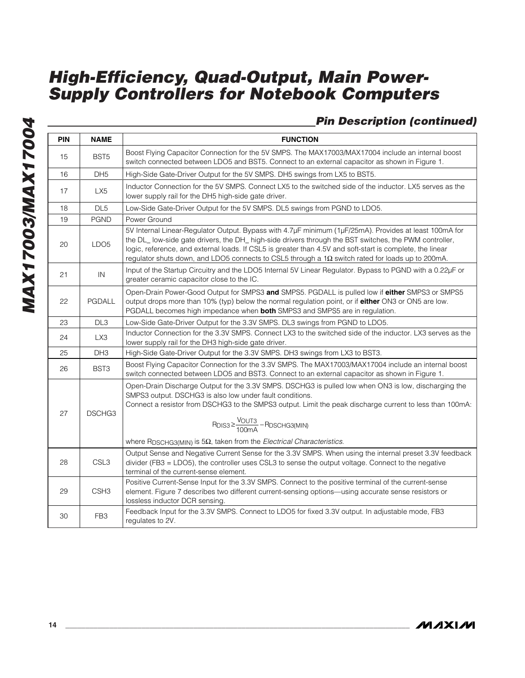### **Pin Description (continued)**

| PIN | <b>NAME</b>      | <b>FUNCTION</b>                                                                                                                                                                                                                                                                                                                                                                                                                          |  |  |  |
|-----|------------------|------------------------------------------------------------------------------------------------------------------------------------------------------------------------------------------------------------------------------------------------------------------------------------------------------------------------------------------------------------------------------------------------------------------------------------------|--|--|--|
| 15  | BST <sub>5</sub> | Boost Flying Capacitor Connection for the 5V SMPS. The MAX17003/MAX17004 include an internal boost<br>switch connected between LDO5 and BST5. Connect to an external capacitor as shown in Figure 1.                                                                                                                                                                                                                                     |  |  |  |
| 16  | DH <sub>5</sub>  | High-Side Gate-Driver Output for the 5V SMPS. DH5 swings from LX5 to BST5.                                                                                                                                                                                                                                                                                                                                                               |  |  |  |
| 17  | LX5              | Inductor Connection for the 5V SMPS. Connect LX5 to the switched side of the inductor. LX5 serves as the<br>lower supply rail for the DH5 high-side gate driver.                                                                                                                                                                                                                                                                         |  |  |  |
| 18  | DL <sub>5</sub>  | Low-Side Gate-Driver Output for the 5V SMPS. DL5 swings from PGND to LDO5.                                                                                                                                                                                                                                                                                                                                                               |  |  |  |
| 19  | <b>PGND</b>      | Power Ground                                                                                                                                                                                                                                                                                                                                                                                                                             |  |  |  |
| 20  | LDO <sub>5</sub> | 5V Internal Linear-Regulator Output. Bypass with 4.7µF minimum (1µF/25mA). Provides at least 100mA for<br>the DL_ low-side gate drivers, the DH_ high-side drivers through the BST switches, the PWM controller,<br>logic, reference, and external loads. If CSL5 is greater than 4.5V and soft-start is complete, the linear<br>regulator shuts down, and LDO5 connects to CSL5 through a $1\Omega$ switch rated for loads up to 200mA. |  |  |  |
| 21  | IN               | Input of the Startup Circuitry and the LDO5 Internal 5V Linear Regulator. Bypass to PGND with a 0.22µF or<br>greater ceramic capacitor close to the IC.                                                                                                                                                                                                                                                                                  |  |  |  |
| 22  | PGDALL           | Open-Drain Power-Good Output for SMPS3 and SMPS5. PGDALL is pulled low if either SMPS3 or SMPS5<br>output drops more than 10% (typ) below the normal regulation point, or if either ON3 or ON5 are low.<br>PGDALL becomes high impedance when <b>both</b> SMPS3 and SMPS5 are in regulation.                                                                                                                                             |  |  |  |
| 23  | DL <sub>3</sub>  | Low-Side Gate-Driver Output for the 3.3V SMPS. DL3 swings from PGND to LDO5.                                                                                                                                                                                                                                                                                                                                                             |  |  |  |
| 24  | LX3              | Inductor Connection for the 3.3V SMPS. Connect LX3 to the switched side of the inductor. LX3 serves as the<br>lower supply rail for the DH3 high-side gate driver.                                                                                                                                                                                                                                                                       |  |  |  |
| 25  | DH <sub>3</sub>  | High-Side Gate-Driver Output for the 3.3V SMPS. DH3 swings from LX3 to BST3.                                                                                                                                                                                                                                                                                                                                                             |  |  |  |
| 26  | BST3             | Boost Flying Capacitor Connection for the 3.3V SMPS. The MAX17003/MAX17004 include an internal boost<br>switch connected between LDO5 and BST3. Connect to an external capacitor as shown in Figure 1.                                                                                                                                                                                                                                   |  |  |  |
| 27  | DSCHG3           | Open-Drain Discharge Output for the 3.3V SMPS. DSCHG3 is pulled low when ON3 is low, discharging the<br>SMPS3 output. DSCHG3 is also low under fault conditions.<br>Connect a resistor from DSCHG3 to the SMPS3 output. Limit the peak discharge current to less than 100mA:<br>$R_{DIS3} \geq \frac{V_{OUT3}}{100mA} - R_{DSCHG3(MIN)}$<br>where $R_{DSCHG3(MIN)}$ is 5 $\Omega$ , taken from the Electrical Characteristics.           |  |  |  |
| 28  | CSL <sub>3</sub> | Output Sense and Negative Current Sense for the 3.3V SMPS. When using the internal preset 3.3V feedback<br>divider (FB3 = LDO5), the controller uses CSL3 to sense the output voltage. Connect to the negative<br>terminal of the current-sense element.                                                                                                                                                                                 |  |  |  |
| 29  | CSH <sub>3</sub> | Positive Current-Sense Input for the 3.3V SMPS. Connect to the positive terminal of the current-sense<br>element. Figure 7 describes two different current-sensing options—using accurate sense resistors or<br>lossless inductor DCR sensing.                                                                                                                                                                                           |  |  |  |
| 30  | FB <sub>3</sub>  | Feedback Input for the 3.3V SMPS. Connect to LDO5 for fixed 3.3V output. In adjustable mode, FB3<br>regulates to 2V.                                                                                                                                                                                                                                                                                                                     |  |  |  |

**MAXIM**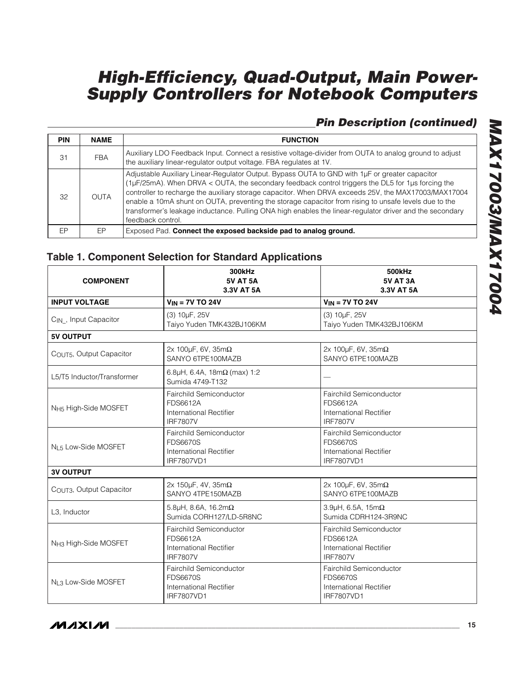### **Pin Description (continued)**

| <b>PIN</b> | <b>NAME</b> | <b>FUNCTION</b>                                                                                                                                                                                                                                                                                                                                                                                                                                                                                                                                       |  |  |
|------------|-------------|-------------------------------------------------------------------------------------------------------------------------------------------------------------------------------------------------------------------------------------------------------------------------------------------------------------------------------------------------------------------------------------------------------------------------------------------------------------------------------------------------------------------------------------------------------|--|--|
| 31         | <b>FBA</b>  | Auxiliary LDO Feedback Input. Connect a resistive voltage-divider from OUTA to analog ground to adjust<br>the auxiliary linear-regulator output voltage. FBA regulates at 1V.                                                                                                                                                                                                                                                                                                                                                                         |  |  |
| 32         | <b>OUTA</b> | Adjustable Auxiliary Linear-Regulator Output. Bypass OUTA to GND with 1µF or greater capacitor<br>(1µF/25mA). When DRVA < OUTA, the secondary feedback control triggers the DL5 for 1µs forcing the<br>controller to recharge the auxiliary storage capacitor. When DRVA exceeds 25V, the MAX17003/MAX17004<br>enable a 10mA shunt on OUTA, preventing the storage capacitor from rising to unsafe levels due to the<br>transformer's leakage inductance. Pulling ONA high enables the linear-regulator driver and the secondary<br>feedback control. |  |  |
| <b>FP</b>  | FP.         | Exposed Pad. Connect the exposed backside pad to analog ground.                                                                                                                                                                                                                                                                                                                                                                                                                                                                                       |  |  |

### **Table 1. Component Selection for Standard Applications**

| <b>COMPONENT</b>                  | <b>300kHz</b><br><b>5V AT 5A</b><br>3.3V AT 5A                                             | 500kHz<br><b>5V AT 3A</b><br>3.3V AT 5A                                                    |  |
|-----------------------------------|--------------------------------------------------------------------------------------------|--------------------------------------------------------------------------------------------|--|
| <b>INPUT VOLTAGE</b>              | $V_{IN}$ = 7V TO 24V                                                                       | $V_{IN}$ = 7V TO 24V                                                                       |  |
| C <sub>IN</sub> , Input Capacitor | (3) 10µF, 25V<br>Taiyo Yuden TMK432BJ106KM                                                 | (3) 10µF, 25V<br>Taiyo Yuden TMK432BJ106KM                                                 |  |
| <b>5V OUTPUT</b>                  |                                                                                            |                                                                                            |  |
| COUT5, Output Capacitor           | 2x 100 $\mu$ F, 6V, 35m $\Omega$<br>SANYO 6TPE100MAZB                                      | 2x 100µF, 6V, 35m $\Omega$<br>SANYO 6TPE100MAZB                                            |  |
| L5/T5 Inductor/Transformer        | 6.8µH, 6.4A, 18m $\Omega$ (max) 1:2<br>Sumida 4749-T132                                    |                                                                                            |  |
| N <sub>H5</sub> High-Side MOSFET  | Fairchild Semiconductor<br>FDS6612A<br>International Rectifier<br><b>IRF7807V</b>          | Fairchild Semiconductor<br>FDS6612A<br><b>International Rectifier</b><br><b>IRF7807V</b>   |  |
| N <sub>L5</sub> Low-Side MOSFET   | Fairchild Semiconductor<br><b>FDS6670S</b><br>International Rectifier<br><b>IRF7807VD1</b> | Fairchild Semiconductor<br><b>FDS6670S</b><br>International Rectifier<br><b>IRF7807VD1</b> |  |
| <b>3V OUTPUT</b>                  |                                                                                            |                                                                                            |  |
| COUT3, Output Capacitor           | 2x 150 $\mu$ F, 4V, 35m $\Omega$<br>SANYO 4TPE150MAZB                                      | 2x 100 $\mu$ F, 6V, 35m $\Omega$<br>SANYO 6TPE100MAZB                                      |  |
| L3, Inductor                      | 5.8µH, 8.6A, 16.2m $\Omega$<br>Sumida CORH127/LD-5R8NC                                     | 3.9µH, 6.5A, 15m $\Omega$<br>Sumida CDRH124-3R9NC                                          |  |
| N <sub>H3</sub> High-Side MOSFET  | Fairchild Semiconductor<br><b>FDS6612A</b><br>International Rectifier<br><b>IRF7807V</b>   | <b>Fairchild Semiconductor</b><br>FDS6612A<br>International Rectifier<br><b>IRF7807V</b>   |  |
| NL3 Low-Side MOSFET               | Fairchild Semiconductor<br><b>FDS6670S</b><br>International Rectifier<br><b>IRF7807VD1</b> | Fairchild Semiconductor<br><b>FDS6670S</b><br>International Rectifier<br><b>IRF7807VD1</b> |  |

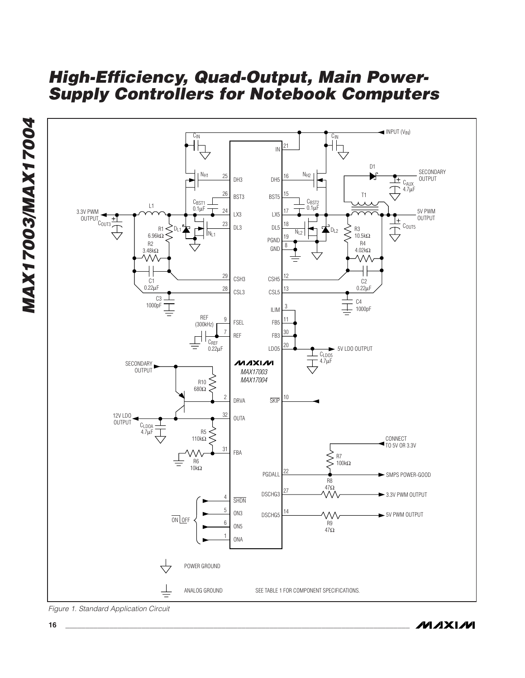

Figure 1. Standard Application Circuit

**MAX17003/MAX17004**

MAX17003/MAX17004

**MAXIM**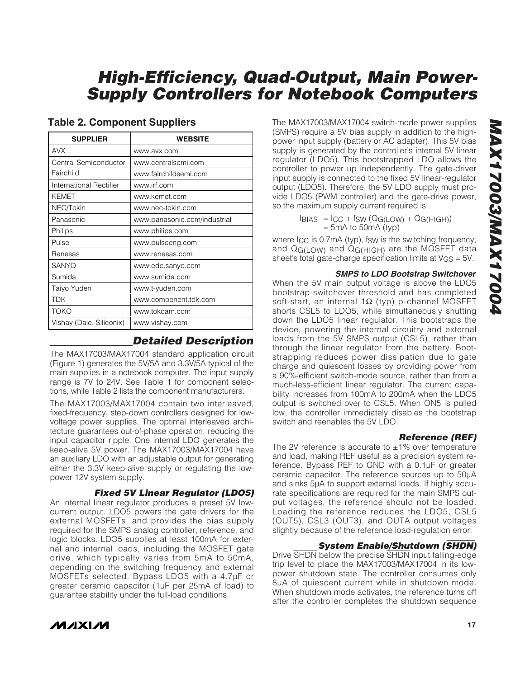| <b>SUPPLIER</b>          | <b>WEBSITE</b>               |  |
|--------------------------|------------------------------|--|
| <b>AVX</b>               | www.avx.com                  |  |
| Central Semiconductor    | www.centralsemi.com          |  |
| Fairchild                | www.fairchildsemi.com        |  |
| International Rectifier  | www.irf.com                  |  |
| <b>KEMET</b>             | www.kemet.com                |  |
| NEC/Tokin                | www.nec-tokin.com            |  |
| Panasonic                | www.panasonic.com/industrial |  |
| Philips                  | www.philips.com              |  |
| Pulse                    | www.pulseeng.com             |  |
| Renesas                  | www.renesas.com              |  |
| SANYO                    | www.edc.sanyo.com            |  |
| Sumida                   | www.sumida.com               |  |
| Taiyo Yuden              | www.t-yuden.com              |  |
| <b>TDK</b>               | www.component.tdk.com        |  |
| <b>TOKO</b>              | www.tokoam.com               |  |
| Vishay (Dale, Siliconix) | www.vishay.com               |  |

### **Table 2. Component Suppliers**

### **Detailed Description**

The MAX17003/MAX17004 standard application circuit (Figure 1) generates the 5V/5A and 3.3V/5A typical of the main supplies in a notebook computer. The input supply range is 7V to 24V. See Table 1 for component selections, while Table 2 lists the component manufacturers.

The MAX17003/MAX17004 contain two interleaved, fixed-frequency, step-down controllers designed for lowvoltage power supplies. The optimal interleaved architecture guarantees out-of-phase operation, reducing the input capacitor ripple. One internal LDO generates the keep-alive 5V power. The MAX17003/MAX17004 have an auxiliary LDO with an adjustable output for generating either the 3.3V keep-alive supply or regulating the lowpower 12V system supply.

**Fixed 5V Linear Regulator (LDO5)**

An internal linear regulator produces a preset 5V lowcurrent output. LDO5 powers the gate drivers for the external MOSFETs, and provides the bias supply required for the SMPS analog controller, reference, and logic blocks. LDO5 supplies at least 100mA for external and internal loads, including the MOSFET gate drive, which typically varies from 5mA to 50mA, depending on the switching frequency and external MOSFETs selected. Bypass LDO5 with a 4.7µF or greater ceramic capacitor (1µF per 25mA of load) to guarantee stability under the full-load conditions.

The MAX17003/MAX17004 switch-mode power supplies (SMPS) require a 5V bias supply in addition to the highpower input supply (battery or AC adapter). This 5V bias supply is generated by the controller's internal 5V linear regulator (LDO5). This bootstrapped LDO allows the controller to power up independently. The gate-driver input supply is connected to the fixed 5V linear-regulator output (LDO5). Therefore, the 5V LDO supply must provide LDO5 (PWM controller) and the gate-drive power, so the maximum supply current required is:

> $I_{BIAS} = I_{CC} + f_{SW} (Q_{G(LOW)} + Q_{G(HIGH)})$  $=$  5mA to 50mA (typ)

where  $I_{CC}$  is 0.7mA (typ), fsw is the switching frequency, and QG(LOW) and QG(HIGH) are the MOSFET data sheet's total gate-charge specification limits at VGS = 5V.

#### **SMPS to LDO Bootstrap Switchover**

When the 5V main output voltage is above the LDO5 bootstrap-switchover threshold and has completed soft-start, an internal 1 $\Omega$  (typ) p-channel MOSFET shorts CSL5 to LDO5, while simultaneously shutting down the LDO5 linear regulator. This bootstraps the device, powering the internal circuitry and external loads from the 5V SMPS output (CSL5), rather than through the linear regulator from the battery. Bootstrapping reduces power dissipation due to gate charge and quiescent losses by providing power from a 90%-efficient switch-mode source, rather than from a much-less-efficient linear regulator. The current capability increases from 100mA to 200mA when the LDO5 output is switched over to CSL5. When ON5 is pulled low, the controller immediately disables the bootstrap switch and reenables the 5V LDO.

### **Reference (REF)**

The 2V reference is accurate to  $\pm 1\%$  over temperature and load, making REF useful as a precision system reference. Bypass REF to GND with a 0.1µF or greater ceramic capacitor. The reference sources up to 50µA and sinks 5µA to support external loads. If highly accurate specifications are required for the main SMPS output voltages, the reference should not be loaded. Loading the reference reduces the LDO5, CSL5 (OUT5), CSL3 (OUT3), and OUTA output voltages slightly because of the reference load-regulation error.

### **System Enable/Shutdown (**SHDN**)**

Drive SHDN below the precise SHDN input falling-edge trip level to place the MAX17003/MAX17004 in its lowpower shutdown state. The controller consumes only 8µA of quiescent current while in shutdown mode. When shutdown mode activates, the reference turns off after the controller completes the shutdown sequence

**MAXM**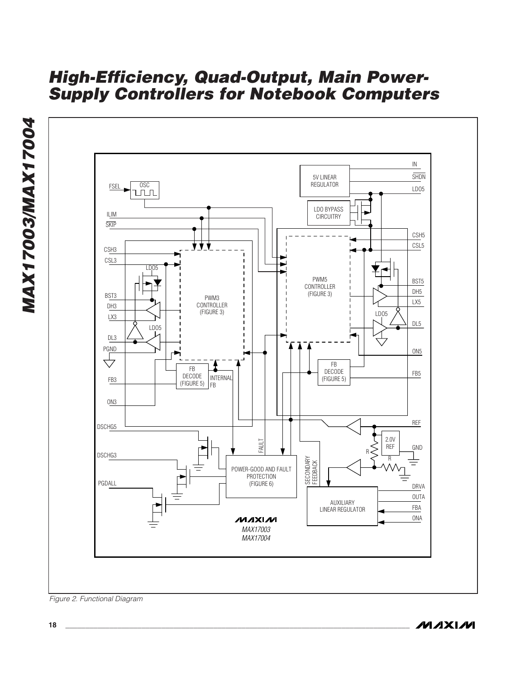

Figure 2. Functional Diagram

**MAXIM**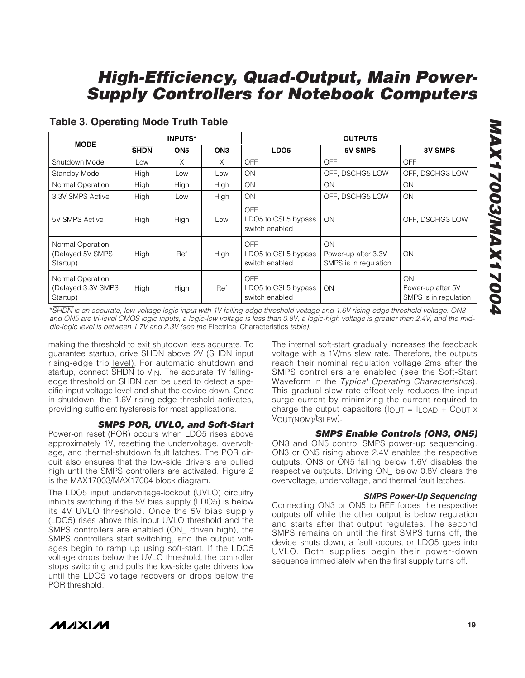| <b>MODE</b>                                        | <b>INPUTS*</b> |                 | <b>OUTPUTS</b>  |                                                     |                                                    |                                                  |
|----------------------------------------------------|----------------|-----------------|-----------------|-----------------------------------------------------|----------------------------------------------------|--------------------------------------------------|
|                                                    | <b>SHDN</b>    | ON <sub>5</sub> | ON <sub>3</sub> | LDO <sub>5</sub>                                    | <b>5V SMPS</b>                                     | <b>3V SMPS</b>                                   |
| Shutdown Mode                                      | Low            | X               | X               | <b>OFF</b>                                          | <b>OFF</b>                                         | <b>OFF</b>                                       |
| Standby Mode                                       | High           | Low             | Low             | <b>ON</b>                                           | OFF, DSCHG5 LOW                                    | OFF, DSCHG3 LOW                                  |
| Normal Operation                                   | High           | High            | High            | <b>ON</b>                                           | ON                                                 | ON                                               |
| 3.3V SMPS Active                                   | High           | Low             | High            | ON                                                  | OFF, DSCHG5 LOW                                    | <b>ON</b>                                        |
| 5V SMPS Active                                     | High           | High            | Low             | OFF<br>LDO5 to CSL5 bypass<br>switch enabled        | <b>ON</b>                                          | OFF, DSCHG3 LOW                                  |
| Normal Operation<br>(Delayed 5V SMPS<br>Startup)   | High           | Ref             | High            | OFF<br>LDO5 to CSL5 bypass<br>switch enabled        | ON<br>Power-up after 3.3V<br>SMPS is in regulation | ON                                               |
| Normal Operation<br>(Delayed 3.3V SMPS<br>Startup) | High           | High            | Ref             | <b>OFF</b><br>LDO5 to CSL5 bypass<br>switch enabled | ON                                                 | ON<br>Power-up after 5V<br>SMPS is in regulation |

### **Table 3. Operating Mode Truth Table**

\*SHDN is an accurate, low-voltage logic input with 1V falling-edge threshold voltage and 1.6V rising-edge threshold voltage. ON3 and ON5 are tri-level CMOS logic inputs, a logic-low voltage is less than 0.8V, a logic-high voltage is greater than 2.4V, and the middle-logic level is between 1.7V and 2.3V (see the Electrical Characteristics table).

making the threshold to exit shutdown less accurate. To guarantee startup, drive SHDN above 2V (SHDN input rising-edge trip level). For automatic shutdown and startup, connect SHDN to V<sub>IN</sub>. The accurate 1V fallingedge threshold on SHDN can be used to detect a specific input voltage level and shut the device down. Once in shutdown, the 1.6V rising-edge threshold activates, providing sufficient hysteresis for most applications.

### **SMPS POR, UVLO, and Soft-Start**

Power-on reset (POR) occurs when LDO5 rises above approximately 1V, resetting the undervoltage, overvoltage, and thermal-shutdown fault latches. The POR circuit also ensures that the low-side drivers are pulled high until the SMPS controllers are activated. Figure 2 is the MAX17003/MAX17004 block diagram.

The LDO5 input undervoltage-lockout (UVLO) circuitry inhibits switching if the 5V bias supply (LDO5) is below its 4V UVLO threshold. Once the 5V bias supply (LDO5) rises above this input UVLO threshold and the SMPS controllers are enabled (ON\_ driven high), the SMPS controllers start switching, and the output voltages begin to ramp up using soft-start. If the LDO5 voltage drops below the UVLO threshold, the controller stops switching and pulls the low-side gate drivers low until the LDO5 voltage recovers or drops below the POR threshold.

The internal soft-start gradually increases the feedback voltage with a 1V/ms slew rate. Therefore, the outputs reach their nominal regulation voltage 2ms after the SMPS controllers are enabled (see the Soft-Start Waveform in the Typical Operating Characteristics). This gradual slew rate effectively reduces the input surge current by minimizing the current required to charge the output capacitors ( $I_{\text{OUT}} = I_{\text{LOAD}} + C_{\text{OUT}} \times$ VOUT(NOM)/tSLEW).

### **SMPS Enable Controls (ON3, ON5)**

ON3 and ON5 control SMPS power-up sequencing. ON3 or ON5 rising above 2.4V enables the respective outputs. ON3 or ON5 falling below 1.6V disables the respective outputs. Driving ON\_ below 0.8V clears the overvoltage, undervoltage, and thermal fault latches.

#### **SMPS Power-Up Sequencing**

Connecting ON3 or ON5 to REF forces the respective outputs off while the other output is below regulation and starts after that output regulates. The second SMPS remains on until the first SMPS turns off, the device shuts down, a fault occurs, or LDO5 goes into UVLO. Both supplies begin their power-down sequence immediately when the first supply turns off.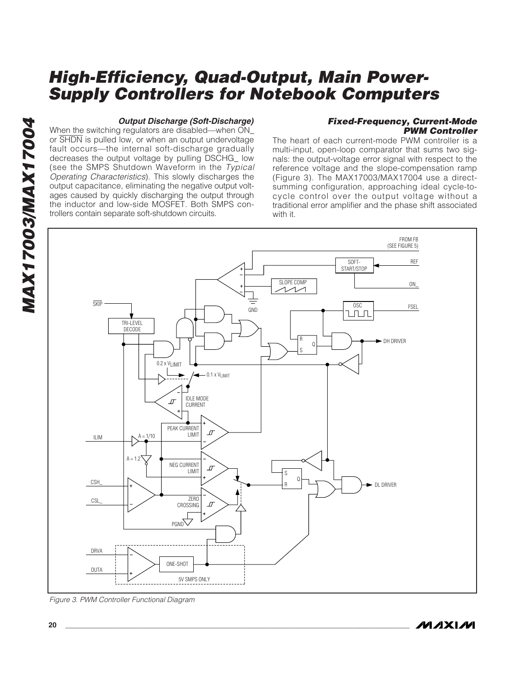#### **Output Discharge (Soft-Discharge)**

When the switching regulators are disabled—when ON\_ or SHDN is pulled low, or when an output undervoltage fault occurs—the internal soft-discharge gradually decreases the output voltage by pulling DSCHG\_ low (see the SMPS Shutdown Waveform in the Typical Operating Characteristics). This slowly discharges the output capacitance, eliminating the negative output voltages caused by quickly discharging the output through the inductor and low-side MOSFET. Both SMPS controllers contain separate soft-shutdown circuits.

#### **Fixed-Frequency, Current-Mode PWM Controller**

The heart of each current-mode PWM controller is a multi-input, open-loop comparator that sums two signals: the output-voltage error signal with respect to the reference voltage and the slope-compensation ramp (Figure 3). The MAX17003/MAX17004 use a directsumming configuration, approaching ideal cycle-tocycle control over the output voltage without a traditional error amplifier and the phase shift associated with it.



**20 \_\_\_\_\_\_\_\_\_\_\_\_\_\_\_\_\_\_\_\_\_\_\_\_\_\_\_\_\_\_\_\_\_\_\_\_\_\_\_\_\_\_\_\_\_\_\_\_\_\_\_\_\_\_\_\_\_\_\_\_\_\_\_\_\_\_\_\_\_\_\_\_\_\_\_\_\_\_\_\_\_\_\_\_\_\_**

Figure 3. PWM Controller Functional Diagram

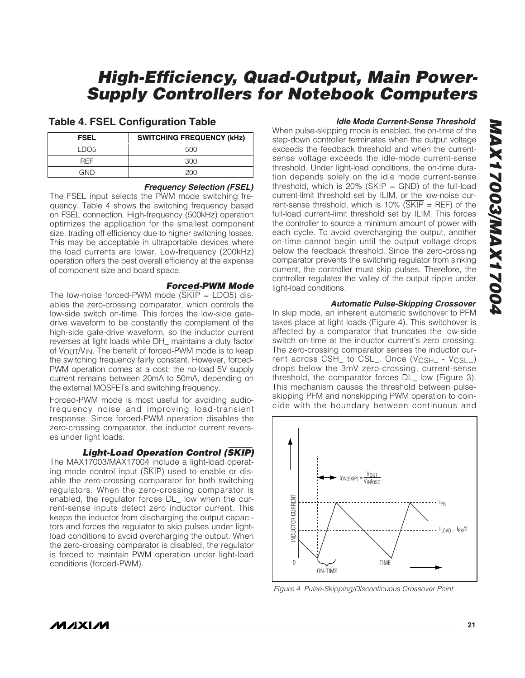### **Table 4. FSEL Configuration Table**

| <b>FSEL</b> | <b>SWITCHING FREQUENCY (kHz)</b> |
|-------------|----------------------------------|
| LDO5        | 500                              |
| <b>RFF</b>  | 300                              |
| GND         | 200                              |

#### **Frequency Selection (FSEL)**

The FSEL input selects the PWM mode switching frequency. Table 4 shows the switching frequency based on FSEL connection. High-frequency (500kHz) operation optimizes the application for the smallest component size, trading off efficiency due to higher switching losses. This may be acceptable in ultraportable devices where the load currents are lower. Low-frequency (200kHz) operation offers the best overall efficiency at the expense of component size and board space.

#### **Forced-PWM Mode**

The low-noise forced-PWM mode  $(SKIP = LDO5)$  disables the zero-crossing comparator, which controls the low-side switch on-time. This forces the low-side gatedrive waveform to be constantly the complement of the high-side gate-drive waveform, so the inductor current reverses at light loads while DH\_ maintains a duty factor of VOUT/VIN. The benefit of forced-PWM mode is to keep the switching frequency fairly constant. However, forced-PWM operation comes at a cost: the no-load 5V supply current remains between 20mA to 50mA, depending on the external MOSFETs and switching frequency.

Forced-PWM mode is most useful for avoiding audiofrequency noise and improving load-transient response. Since forced-PWM operation disables the zero-crossing comparator, the inductor current reverses under light loads.

### **Light-Load Operation Control (**SKIP**)**

The MAX17003/MAX17004 include a light-load operating mode control input (SKIP) used to enable or disable the zero-crossing comparator for both switching regulators. When the zero-crossing comparator is enabled, the regulator forces DL\_ low when the current-sense inputs detect zero inductor current. This keeps the inductor from discharging the output capacitors and forces the regulator to skip pulses under lightload conditions to avoid overcharging the output. When the zero-crossing comparator is disabled, the regulator is forced to maintain PWM operation under light-load conditions (forced-PWM).

#### **Idle Mode Current-Sense Threshold**

When pulse-skipping mode is enabled, the on-time of the step-down controller terminates when the output voltage exceeds the feedback threshold and when the currentsense voltage exceeds the idle-mode current-sense threshold. Under light-load conditions, the on-time duration depends solely on the idle mode current-sense threshold, which is 20% ( $\overline{\text{SKIP}}$  = GND) of the full-load current-limit threshold set by ILIM, or the low-noise current-sense threshold, which is 10% ( $\overline{\text{SKIP}}$  = REF) of the full-load current-limit threshold set by ILIM. This forces the controller to source a minimum amount of power with each cycle. To avoid overcharging the output, another on-time cannot begin until the output voltage drops below the feedback threshold. Since the zero-crossing comparator prevents the switching regulator from sinking current, the controller must skip pulses. Therefore, the controller regulates the valley of the output ripple under light-load conditions.

#### **Automatic Pulse-Skipping Crossover**

In skip mode, an inherent automatic switchover to PFM takes place at light loads (Figure 4). This switchover is affected by a comparator that truncates the low-side switch on-time at the inductor current's zero crossing. The zero-crossing comparator senses the inductor current across CSH\_ to CSL\_. Once (V<sub>CSH\_</sub> - V<sub>CSL\_</sub>) drops below the 3mV zero-crossing, current-sense threshold, the comparator forces DL\_ low (Figure 3). This mechanism causes the threshold between pulseskipping PFM and nonskipping PWM operation to coincide with the boundary between continuous and



Figure 4. Pulse-Skipping/Discontinuous Crossover Point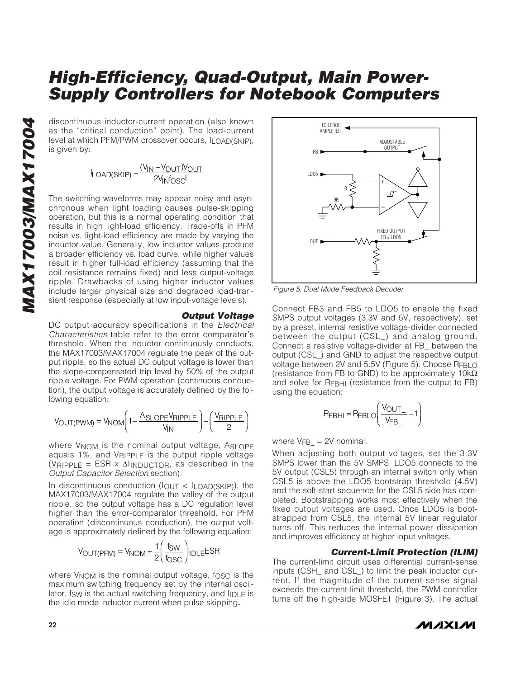discontinuous inductor-current operation (also known as the "critical conduction" point). The load-current level at which PFM/PWM crossover occurs, ILOAD(SKIP), is given by:

$$
I_{LOAD(SKIP)} = \frac{(V_{IN} - V_{OUT})V_{OUT}}{2V_{IN}f_{OS}C}
$$

The switching waveforms may appear noisy and asynchronous when light loading causes pulse-skipping operation, but this is a normal operating condition that results in high light-load efficiency. Trade-offs in PFM noise vs. light-load efficiency are made by varying the inductor value. Generally, low inductor values produce a broader efficiency vs. load curve, while higher values result in higher full-load efficiency (assuming that the coil resistance remains fixed) and less output-voltage ripple. Drawbacks of using higher inductor values include larger physical size and degraded load-transient response (especially at low input-voltage levels).

**Output Voltage** DC output accuracy specifications in the *Electrical* Characteristics table refer to the error comparator's threshold. When the inductor continuously conducts, the MAX17003/MAX17004 regulate the peak of the output ripple, so the actual DC output voltage is lower than the slope-compensated trip level by 50% of the output ripple voltage. For PWM operation (continuous conduction), the output voltage is accurately defined by the fol-

$$
V_{OUT(PWIM)} = V_{NOM} \left( 1 - \frac{A_{SLOPE} V_{RIPPLE}}{V_{IN}} \right) - \left( \frac{V_{RIPPLE}}{2} \right)
$$

where V<sub>NOM</sub> is the nominal output voltage, ASLOPE equals 1%, and VRIPPLE is the output ripple voltage (VRIPPLE = ESR x  $\Delta$ IINDUCTOR, as described in the Output Capacitor Selection section).

In discontinuous conduction ( $I_{\text{OUT}}$  <  $I_{\text{LOAD}(\text{SKIP})}$ ), the MAX17003/MAX17004 regulate the valley of the output ripple, so the output voltage has a DC regulation level higher than the error-comparator threshold. For PFM operation (discontinuous conduction), the output voltage is approximately defined by the following equation:

$$
V_{\text{OUT(PFM)}} = V_{\text{NOM}} + \frac{1}{2} \left( \frac{f_{\text{SW}}}{f_{\text{OSC}}} \right) I_{\text{IDLE}} E \text{SR}
$$

where V<sub>NOM</sub> is the nominal output voltage, fosc is the maximum switching frequency set by the internal oscillator, fsw is the actual switching frequency, and  $I_{\text{IDLE}}$  is the idle mode inductor current when pulse skipping**.**



Figure 5. Dual Mode Feedback Decoder

Connect FB3 and FB5 to LDO5 to enable the fixed SMPS output voltages (3.3V and 5V, respectively), set by a preset, internal resistive voltage-divider connected between the output (CSL\_) and analog ground. Connect a resistive voltage-divider at FB\_ between the output (CSL\_) and GND to adjust the respective output voltage between 2V and 5.5V (Figure 5). Choose RFBLO (resistance from FB to GND) to be approximately  $10k\Omega$ and solve for RFBHI (resistance from the output to FB) using the equation:

$$
R_{FBHI} = R_{FBLO} \left( \frac{V_{OUT}}{V_{FB}} - 1 \right)
$$

where  $V_{FB}$  = 2V nominal.

When adjusting both output voltages, set the 3.3V SMPS lower than the 5V SMPS. LDO5 connects to the 5V output (CSL5) through an internal switch only when CSL5 is above the LDO5 bootstrap threshold (4.5V) and the soft-start sequence for the CSL5 side has completed. Bootstrapping works most effectively when the fixed output voltages are used. Once LDO5 is bootstrapped from CSL5, the internal 5V linear regulator turns off. This reduces the internal power dissipation and improves efficiency at higher input voltages.

### **Current-Limit Protection (ILIM)**

The current-limit circuit uses differential current-sense inputs (CSH\_ and CSL\_) to limit the peak inductor current. If the magnitude of the current-sense signal exceeds the current-limit threshold, the PWM controller turns off the high-side MOSFET (Figure 3). The actual



lowing equation: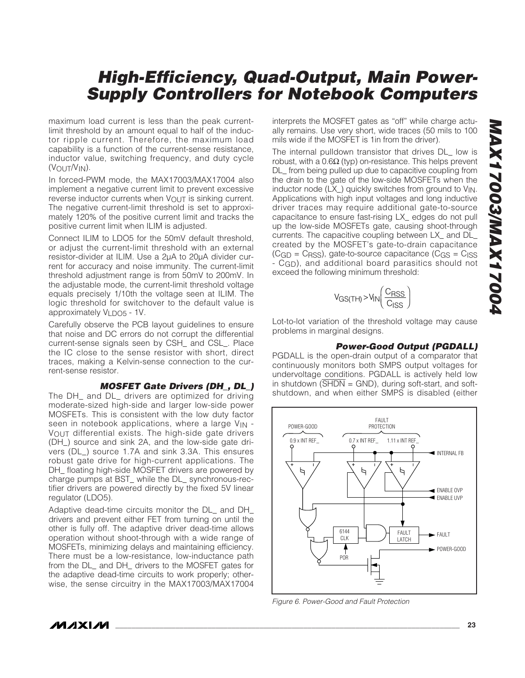maximum load current is less than the peak currentlimit threshold by an amount equal to half of the inductor ripple current. Therefore, the maximum load capability is a function of the current-sense resistance, inductor value, switching frequency, and duty cycle (VOUT/VIN).

In forced-PWM mode, the MAX17003/MAX17004 also implement a negative current limit to prevent excessive reverse inductor currents when  $V_{\text{OUT}}$  is sinking current. The negative current-limit threshold is set to approximately 120% of the positive current limit and tracks the positive current limit when ILIM is adjusted.

Connect ILIM to LDO5 for the 50mV default threshold, or adjust the current-limit threshold with an external resistor-divider at ILIM. Use a 2µA to 20µA divider current for accuracy and noise immunity. The current-limit threshold adjustment range is from 50mV to 200mV. In the adjustable mode, the current-limit threshold voltage equals precisely 1/10th the voltage seen at ILIM. The logic threshold for switchover to the default value is approximately VLDO5 - 1V.

Carefully observe the PCB layout guidelines to ensure that noise and DC errors do not corrupt the differential current-sense signals seen by CSH\_ and CSL\_. Place the IC close to the sense resistor with short, direct traces, making a Kelvin-sense connection to the current-sense resistor.

#### **MOSFET Gate Drivers (DH\_, DL\_)**

The DH\_ and DL\_ drivers are optimized for driving moderate-sized high-side and larger low-side power MOSFETs. This is consistent with the low duty factor seen in notebook applications, where a large V<sub>IN</sub> -VOUT differential exists. The high-side gate drivers (DH\_) source and sink 2A, and the low-side gate drivers (DL\_) source 1.7A and sink 3.3A. This ensures robust gate drive for high-current applications. The DH floating high-side MOSFET drivers are powered by charge pumps at BST\_ while the DL\_ synchronous-rectifier drivers are powered directly by the fixed 5V linear regulator (LDO5).

Adaptive dead-time circuits monitor the DL\_ and DH\_ drivers and prevent either FET from turning on until the other is fully off. The adaptive driver dead-time allows operation without shoot-through with a wide range of MOSFETs, minimizing delays and maintaining efficiency. There must be a low-resistance, low-inductance path from the DL\_ and DH\_ drivers to the MOSFET gates for the adaptive dead-time circuits to work properly; otherwise, the sense circuitry in the MAX17003/MAX17004

interprets the MOSFET gates as "off" while charge actually remains. Use very short, wide traces (50 mils to 100 mils wide if the MOSFET is 1in from the driver).

The internal pulldown transistor that drives DL low is robust, with a  $0.6Ω$  (typ) on-resistance. This helps prevent DL\_ from being pulled up due to capacitive coupling from the drain to the gate of the low-side MOSFETs when the inductor node  $(LX_{-})$  quickly switches from ground to  $V_{IN}$ . Applications with high input voltages and long inductive driver traces may require additional gate-to-source capacitance to ensure fast-rising LX\_ edges do not pull up the low-side MOSFETs gate, causing shoot-through currents. The capacitive coupling between LX\_ and DL\_ created by the MOSFET's gate-to-drain capacitance  $(CGD = CrSS)$ , gate-to-source capacitance  $(CGS = CISS)$ - C<sub>GD</sub>), and additional board parasitics should not exceed the following minimum threshold:

$$
V_{GS(TH)} > V_{IN} \left( \frac{C_{RSS}}{C_{ISS}} \right)
$$

Lot-to-lot variation of the threshold voltage may cause problems in marginal designs.

#### **Power-Good Output (PGDALL)**

PGDALL is the open-drain output of a comparator that continuously monitors both SMPS output voltages for undervoltage conditions. PGDALL is actively held low in shutdown  $(\overline{\text{SHDN}} = \text{GND})$ , during soft-start, and softshutdown, and when either SMPS is disabled (either



Figure 6. Power-Good and Fault Protection

**MAXM**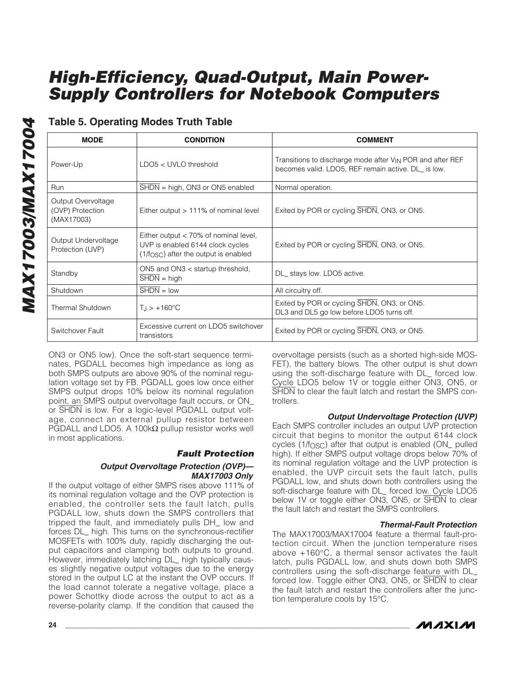### **Table 5. Operating Modes Truth Table**

| <b>MODE</b><br><b>CONDITION</b>                                                |                                                                                                                       | <b>COMMENT</b>                                                                                                               |  |
|--------------------------------------------------------------------------------|-----------------------------------------------------------------------------------------------------------------------|------------------------------------------------------------------------------------------------------------------------------|--|
| Power-Up                                                                       | $LDOS < UVLO$ threshold                                                                                               | Transitions to discharge mode after V <sub>IN</sub> POR and after REF<br>becomes valid. LDO5, REF remain active. DL_ is low. |  |
| Run                                                                            | SHDN = high, ON3 or ON5 enabled                                                                                       | Normal operation.                                                                                                            |  |
| Output Overvoltage<br>(OVP) Protection<br>(MAX17003)                           | Either output $> 111\%$ of nominal level                                                                              | Exited by POR or cycling SHDN, ON3, or ON5.                                                                                  |  |
| Output Undervoltage<br>Protection (UVP)                                        | Either output $<$ 70% of nominal level,<br>UVP is enabled 6144 clock cycles<br>$(1/fOSC)$ after the output is enabled | Exited by POR or cycling SHDN, ON3, or ON5.                                                                                  |  |
| ON5 and ON3 < startup threshold,<br>Standby<br>$\overline{\text{SHDN}}$ = high |                                                                                                                       | DL_ stays low. LDO5 active.                                                                                                  |  |
| Shutdown                                                                       | $SHDN = low$                                                                                                          | All circuitry off.                                                                                                           |  |
| Thermal Shutdown                                                               | $T_{\rm J}$ > +160 °C                                                                                                 | Exited by POR or cycling SHDN, ON3, or ON5.<br>DL3 and DL5 go low before LDO5 turns off.                                     |  |
| Switchover Fault                                                               | Excessive current on LDO5 switchover<br>transistors                                                                   | Exited by POR or cycling SHDN, ON3, or ON5.                                                                                  |  |

ON3 or ON5 low). Once the soft-start sequence terminates, PGDALL becomes high impedance as long as both SMPS outputs are above 90% of the nominal regulation voltage set by FB. PGDALL goes low once either SMPS output drops 10% below its nominal regulation point, an SMPS output overvoltage fault occurs, or ON\_ or SHDN is low. For a logic-level PGDALL output voltage, connect an external pullup resistor between PGDALL and LDO5. A 100kΩ pullup resistor works well in most applications.

### **Fault Protection**

#### **Output Overvoltage Protection (OVP)— MAX17003 Only**

If the output voltage of either SMPS rises above 111% of its nominal regulation voltage and the OVP protection is enabled, the controller sets the fault latch, pulls PGDALL low, shuts down the SMPS controllers that tripped the fault, and immediately pulls DH\_ low and forces DL\_ high. This turns on the synchronous-rectifier MOSFETs with 100% duty, rapidly discharging the output capacitors and clamping both outputs to ground. However, immediately latching DL\_ high typically causes slightly negative output voltages due to the energy stored in the output LC at the instant the OVP occurs. If the load cannot tolerate a negative voltage, place a power Schottky diode across the output to act as a reverse-polarity clamp. If the condition that caused the

overvoltage persists (such as a shorted high-side MOS-FET), the battery blows. The other output is shut down using the soft-discharge feature with DL\_ forced low. Cycle LDO5 below 1V or toggle either ON3, ON5, or SHDN to clear the fault latch and restart the SMPS controllers.

### **Output Undervoltage Protection (UVP)**

Each SMPS controller includes an output UVP protection circuit that begins to monitor the output 6144 clock cycles (1/f<sub>OSC</sub>) after that output is enabled (ON\_ pulled high). If either SMPS output voltage drops below 70% of its nominal regulation voltage and the UVP protection is enabled, the UVP circuit sets the fault latch, pulls PGDALL low, and shuts down both controllers using the soft-discharge feature with DL\_ forced low. Cycle LDO5 below 1V or toggle either ON3, ON5, or SHDN to clear the fault latch and restart the SMPS controllers.

### **Thermal-Fault Protection**

The MAX17003/MAX17004 feature a thermal fault-protection circuit. When the junction temperature rises above +160°C, a thermal sensor activates the fault latch, pulls PGDALL low, and shuts down both SMPS controllers using the soft-discharge feature with DL\_ forced low. Toggle either ON3, ON5, or SHDN to clear the fault latch and restart the controllers after the junction temperature cools by 15°C.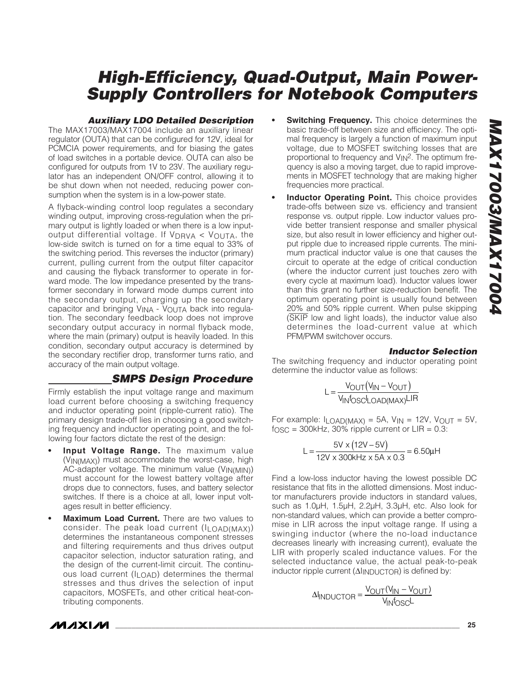#### **Auxiliary LDO Detailed Description**

The MAX17003/MAX17004 include an auxiliary linear regulator (OUTA) that can be configured for 12V, ideal for PCMCIA power requirements, and for biasing the gates of load switches in a portable device. OUTA can also be configured for outputs from 1V to 23V. The auxiliary regulator has an independent ON/OFF control, allowing it to be shut down when not needed, reducing power consumption when the system is in a low-power state.

A flyback-winding control loop regulates a secondary winding output, improving cross-regulation when the primary output is lightly loaded or when there is a low inputoutput differential voltage. If  $V_{DRVA} < V_{OUTA}$ , the low-side switch is turned on for a time equal to 33% of the switching period. This reverses the inductor (primary) current, pulling current from the output filter capacitor and causing the flyback transformer to operate in forward mode. The low impedance presented by the transformer secondary in forward mode dumps current into the secondary output, charging up the secondary capacitor and bringing VINA - VOUTA back into regulation. The secondary feedback loop does not improve secondary output accuracy in normal flyback mode, where the main (primary) output is heavily loaded. In this condition, secondary output accuracy is determined by the secondary rectifier drop, transformer turns ratio, and accuracy of the main output voltage.

### **SMPS Design Procedure**

Firmly establish the input voltage range and maximum load current before choosing a switching frequency and inductor operating point (ripple-current ratio). The primary design trade-off lies in choosing a good switching frequency and inductor operating point, and the following four factors dictate the rest of the design:

- **Input Voltage Range.** The maximum value (VIN(MAX)) must accommodate the worst-case, high AC-adapter voltage. The minimum value (VIN(MIN)) must account for the lowest battery voltage after drops due to connectors, fuses, and battery selector switches. If there is a choice at all, lower input voltages result in better efficiency.
- **Maximum Load Current.** There are two values to consider. The peak load current (ILOAD(MAX)) determines the instantaneous component stresses and filtering requirements and thus drives output capacitor selection, inductor saturation rating, and the design of the current-limit circuit. The continuous load current (ILOAD) determines the thermal stresses and thus drives the selection of input capacitors, MOSFETs, and other critical heat-contributing components.
- **Switching Frequency.** This choice determines the basic trade-off between size and efficiency. The optimal frequency is largely a function of maximum input voltage, due to MOSFET switching losses that are proportional to frequency and  $V_{IN}^2$ . The optimum frequency is also a moving target, due to rapid improvements in MOSFET technology that are making higher frequencies more practical.
- **Inductor Operating Point.** This choice provides trade-offs between size vs. efficiency and transient response vs. output ripple. Low inductor values provide better transient response and smaller physical size, but also result in lower efficiency and higher output ripple due to increased ripple currents. The minimum practical inductor value is one that causes the circuit to operate at the edge of critical conduction (where the inductor current just touches zero with every cycle at maximum load). Inductor values lower than this grant no further size-reduction benefit. The optimum operating point is usually found between 20% and 50% ripple current. When pulse skipping (SKIP low and light loads), the inductor value also determines the load-current value at which PFM/PWM switchover occurs.

#### **Inductor Selection**

The switching frequency and inductor operating point determine the inductor value as follows:

$$
L = \frac{V_{OUT}(V_{IN} - V_{OUT})}{V_{IN}f_{OSC}L_{OAD(MAX)}LIR}
$$

For example:  $I_{LOAD(MAX)} = 5A$ ,  $V_{IN} = 12V$ ,  $V_{OUT} = 5V$ ,  $f<sub>OSC</sub> = 300kHz$ , 30% ripple current or  $LIR = 0.3$ :

$$
L = \frac{5V \times (12V - 5V)}{12V \times 300kHz \times 5A \times 0.3} = 6.50 \mu H
$$

Find a low-loss inductor having the lowest possible DC resistance that fits in the allotted dimensions. Most inductor manufacturers provide inductors in standard values, such as 1.0µH, 1.5µH, 2.2µH, 3.3µH, etc. Also look for non-standard values, which can provide a better compromise in LIR across the input voltage range. If using a swinging inductor (where the no-load inductance decreases linearly with increasing current), evaluate the LIR with properly scaled inductance values. For the selected inductance value, the actual peak-to-peak inductor ripple current (ΔI<sub>INDUCTOR</sub>) is defined by:

$$
\Delta I_{INDUCTOR} = \frac{V_{OUT}(V_{IN} - V_{OUT})}{V_{IN}f_{OSC}L}
$$

*IVI AXI AVI*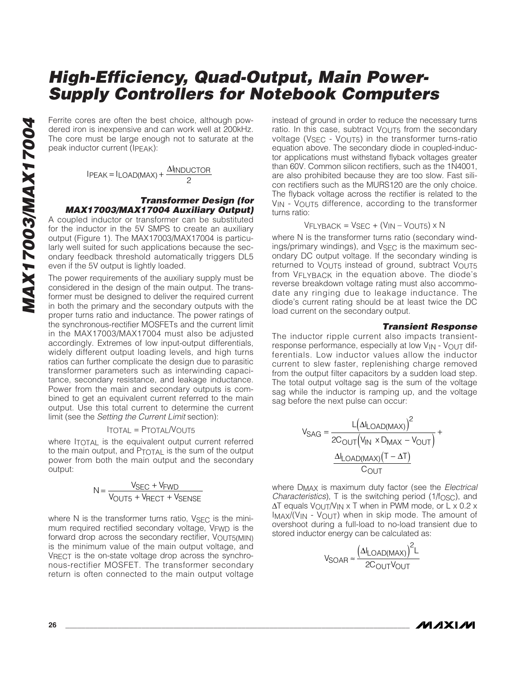Ferrite cores are often the best choice, although powdered iron is inexpensive and can work well at 200kHz. The core must be large enough not to saturate at the peak inductor current (IPEAK):

$$
IPEAK = ILOAD(MAX) + \frac{\Delta IINDUCTOR}{2}
$$

#### **Transformer Design (for MAX17003/MAX17004 Auxiliary Output)**

A coupled inductor or transformer can be substituted for the inductor in the 5V SMPS to create an auxiliary output (Figure 1). The MAX17003/MAX17004 is particularly well suited for such applications because the secondary feedback threshold automatically triggers DL5 even if the 5V output is lightly loaded.

The power requirements of the auxiliary supply must be considered in the design of the main output. The transformer must be designed to deliver the required current in both the primary and the secondary outputs with the proper turns ratio and inductance. The power ratings of the synchronous-rectifier MOSFETs and the current limit in the MAX17003/MAX17004 must also be adjusted accordingly. Extremes of low input-output differentials, widely different output loading levels, and high turns ratios can further complicate the design due to parasitic transformer parameters such as interwinding capacitance, secondary resistance, and leakage inductance. Power from the main and secondary outputs is combined to get an equivalent current referred to the main output. Use this total current to determine the current limit (see the Setting the Current Limit section):

#### ITOTAL = PTOTAL/VOUT5

where ITOTAL is the equivalent output current referred to the main output, and PTOTAL is the sum of the output power from both the main output and the secondary output:

$$
N = \frac{V_{SEC} + V_{FWD}}{V_{OUT5} + V_{RECT} + V_{SENSE}}
$$

where  $N$  is the transformer turns ratio,  $V_{\text{SEC}}$  is the minimum required rectified secondary voltage, VFWD is the forward drop across the secondary rectifier, VOUT5(MIN) is the minimum value of the main output voltage, and VRECT is the on-state voltage drop across the synchronous-rectifier MOSFET. The transformer secondary return is often connected to the main output voltage

instead of ground in order to reduce the necessary turns ratio. In this case, subtract VOUT5 from the secondary voltage (VSEC - VOUT5) in the transformer turns-ratio equation above. The secondary diode in coupled-inductor applications must withstand flyback voltages greater than 60V. Common silicon rectifiers, such as the 1N4001, are also prohibited because they are too slow. Fast silicon rectifiers such as the MURS120 are the only choice. The flyback voltage across the rectifier is related to the VIN - VOUT5 difference, according to the transformer turns ratio:

#### $VFLYBACK = VSEC + (VIN - VOUT5) \times N$

where N is the transformer turns ratio (secondary windings/primary windings), and V<sub>SEC</sub> is the maximum secondary DC output voltage. If the secondary winding is returned to V<sub>OUT5</sub> instead of ground, subtract V<sub>OUT5</sub> from VFLYBACK in the equation above. The diode's reverse breakdown voltage rating must also accommodate any ringing due to leakage inductance. The diode's current rating should be at least twice the DC load current on the secondary output.

#### **Transient Response**

The inductor ripple current also impacts transientresponse performance, especially at low  $V_{IN}$  -  $V_{OUIT}$  differentials. Low inductor values allow the inductor current to slew faster, replenishing charge removed from the output filter capacitors by a sudden load step. The total output voltage sag is the sum of the voltage sag while the inductor is ramping up, and the voltage sag before the next pulse can occur:

$$
V_{SAG} = \frac{L(A|_{LOAD(MAX)})^2}{2C_{OUT}(V_{IN} \times D_{MAX} - V_{OUT})} + \frac{\Delta I_{LOAD(MAX)}(T - \Delta T)}{C_{OUT}}
$$

where D<sub>MAX</sub> is maximum duty factor (see the *Electrical Characteristics*), T is the switching period  $(1/f<sub>OSC</sub>)$ , and  $\Delta T$  equals  $V_{\Omega U}T/V_{\Omega V} \times T$  when in PWM mode, or L x 0.2 x  $Imax/(V_{IN} - V_{OUIT})$  when in skip mode. The amount of overshoot during a full-load to no-load transient due to stored inductor energy can be calculated as:

$$
V_{SOAR} \approx \frac{\left(\Delta I_{LOAD(MAX)}\right)^2 L}{2C_{OUT}V_{OUT}}
$$

MAXIM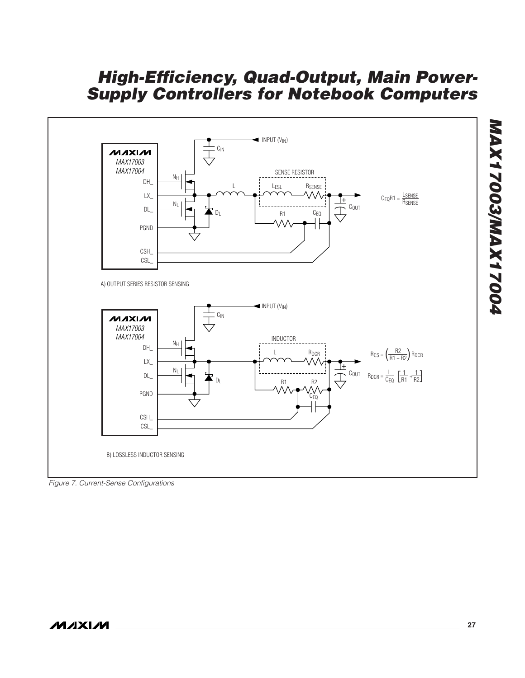

Figure 7. Current-Sense Configurations

**MAX17003/MAX17004**

**MAX17003/MAX17004**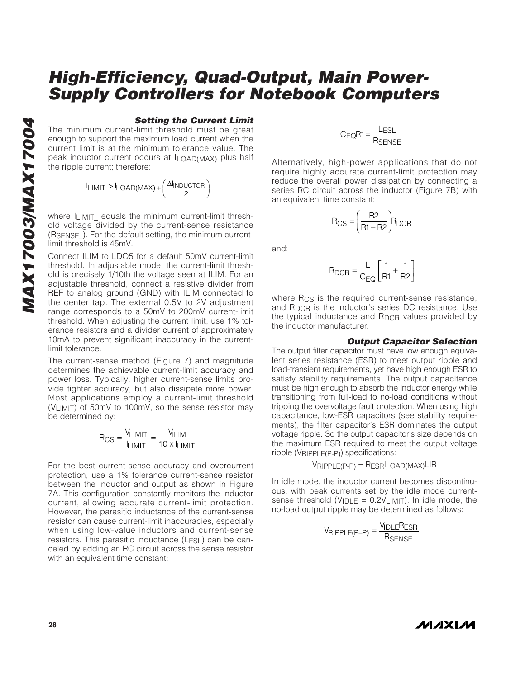#### **Setting the Current Limit**

The minimum current-limit threshold must be great enough to support the maximum load current when the current limit is at the minimum tolerance value. The peak inductor current occurs at ILOAD(MAX) plus half the ripple current; therefore:

$$
I_{LIMIT} > I_{LOAD(MAX)} + \left(\frac{\Delta I_{INDUCTOR}}{2}\right)
$$

where ILIMIT equals the minimum current-limit threshold voltage divided by the current-sense resistance (RSENSE\_). For the default setting, the minimum currentlimit threshold is 45mV.

Connect ILIM to LDO5 for a default 50mV current-limit threshold. In adjustable mode, the current-limit threshold is precisely 1/10th the voltage seen at ILIM. For an adjustable threshold, connect a resistive divider from REF to analog ground (GND) with ILIM connected to the center tap. The external 0.5V to 2V adjustment range corresponds to a 50mV to 200mV current-limit threshold. When adjusting the current limit, use 1% tolerance resistors and a divider current of approximately 10mA to prevent significant inaccuracy in the currentlimit tolerance.

The current-sense method (Figure 7) and magnitude determines the achievable current-limit accuracy and power loss. Typically, higher current-sense limits provide tighter accuracy, but also dissipate more power. Most applications employ a current-limit threshold (VLIMIT) of 50mV to 100mV, so the sense resistor may be determined by:

$$
R_{CS} = \frac{V_{LIMIT}}{I_{LIMIT}} = \frac{V_{ILIM}}{10 \times I_{LIMIT}}
$$

For the best current-sense accuracy and overcurrent protection, use a 1% tolerance current-sense resistor between the inductor and output as shown in Figure 7A. This configuration constantly monitors the inductor current, allowing accurate current-limit protection. However, the parasitic inductance of the current-sense resistor can cause current-limit inaccuracies, especially when using low-value inductors and current-sense resistors. This parasitic inductance (LESL) can be canceled by adding an RC circuit across the sense resistor with an equivalent time constant:

$$
C_{EQ}R1 = \frac{L_{ESL}}{R_{SENSE}}
$$

Alternatively, high-power applications that do not require highly accurate current-limit protection may reduce the overall power dissipation by connecting a series RC circuit across the inductor (Figure 7B) with an equivalent time constant:

$$
R_{CS} = \left(\frac{R2}{R1 + R2}\right) R_{DCR}
$$

and:

$$
R_{DCR} = \frac{L}{C_{EQ}} \left[ \frac{1}{R1} + \frac{1}{R2} \right]
$$

where Rcs is the required current-sense resistance. and  $R_{DCR}$  is the inductor's series DC resistance. Use the typical inductance and RDCR values provided by the inductor manufacturer.

#### **Output Capacitor Selection**

The output filter capacitor must have low enough equivalent series resistance (ESR) to meet output ripple and load-transient requirements, yet have high enough ESR to satisfy stability requirements. The output capacitance must be high enough to absorb the inductor energy while transitioning from full-load to no-load conditions without tripping the overvoltage fault protection. When using high capacitance, low-ESR capacitors (see stability requirements), the filter capacitor's ESR dominates the output voltage ripple. So the output capacitor's size depends on the maximum ESR required to meet the output voltage ripple (VRIPPLE(P-P)) specifications:

 $V$ RIPPLE(P-P) = RESRILOAD(MAX)LIR

In idle mode, the inductor current becomes discontinuous, with peak currents set by the idle mode currentsense threshold ( $V_{\text{IDLE}} = 0.2V_{\text{LIMIT}}$ ). In idle mode, the no-load output ripple may be determined as follows:

$$
V_{RIPPLE(P-P)} = \frac{V_{IDLE}R_{ESR}}{R_{SENSE}}
$$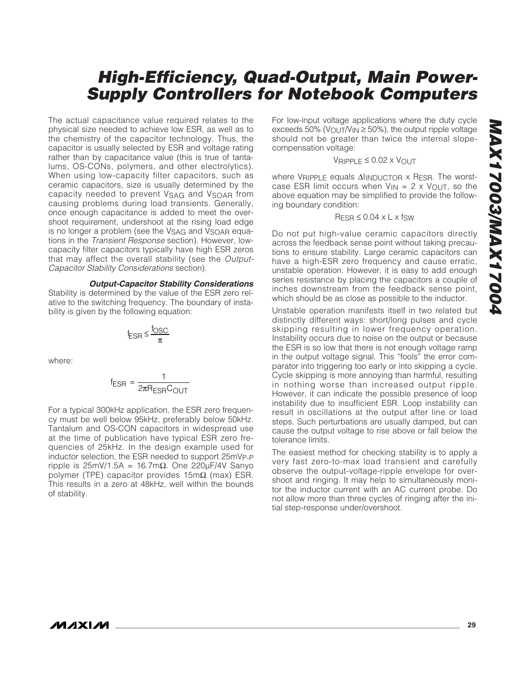The actual capacitance value required relates to the physical size needed to achieve low ESR, as well as to the chemistry of the capacitor technology. Thus, the capacitor is usually selected by ESR and voltage rating rather than by capacitance value (this is true of tantalums, OS-CONs, polymers, and other electrolytics). When using low-capacity filter capacitors, such as ceramic capacitors, size is usually determined by the capacity needed to prevent VSAG and VSOAR from causing problems during load transients. Generally, once enough capacitance is added to meet the overshoot requirement, undershoot at the rising load edge is no longer a problem (see the VSAG and VSOAR equations in the Transient Response section). However, lowcapacity filter capacitors typically have high ESR zeros that may affect the overall stability (see the Output-Capacitor Stability Considerations section).

**Output-Capacitor Stability Considerations**

Stability is determined by the value of the ESR zero relative to the switching frequency. The boundary of instability is given by the following equation:

$$
f_{ESR} \leq \frac{f_{OSC}}{\pi}
$$

where:

$$
f_{ESR} = \frac{1}{2\pi R_{ESR}C_{OUT}}
$$

For a typical 300kHz application, the ESR zero frequency must be well below 95kHz, preferably below 50kHz. Tantalum and OS-CON capacitors in widespread use at the time of publication have typical ESR zero frequencies of 25kHz. In the design example used for inductor selection, the ESR needed to support 25mVP-P ripple is 25mV/1.5A = 16.7mΩ. One 220µF/4V Sanyo polymer (TPE) capacitor provides 15mΩ (max) ESR. This results in a zero at 48kHz, well within the bounds of stability.

For low-input voltage applications where the duty cycle exceeds 50% (VOUT/V<sub>IN</sub>  $\geq$  50%), the output ripple voltage should not be greater than twice the internal slopecompensation voltage:

#### VRIPPLE ≤ 0.02 x VOUT

where VRIPPLE equals ΔΙΙΝDUCTOR x RESR. The worstcase ESR limit occurs when  $V_{IN} = 2 \times V_{OUT}$ , so the above equation may be simplified to provide the following boundary condition:

$$
R_{ESR} \le 0.04 \times L \times f_{SW}
$$

Do not put high-value ceramic capacitors directly across the feedback sense point without taking precautions to ensure stability. Large ceramic capacitors can have a high-ESR zero frequency and cause erratic, unstable operation. However, it is easy to add enough series resistance by placing the capacitors a couple of inches downstream from the feedback sense point, which should be as close as possible to the inductor.

Unstable operation manifests itself in two related but distinctly different ways: short/long pulses and cycle skipping resulting in lower frequency operation. Instability occurs due to noise on the output or because the ESR is so low that there is not enough voltage ramp in the output voltage signal. This "fools" the error comparator into triggering too early or into skipping a cycle. Cycle skipping is more annoying than harmful, resulting in nothing worse than increased output ripple. However, it can indicate the possible presence of loop instability due to insufficient ESR. Loop instability can result in oscillations at the output after line or load steps. Such perturbations are usually damped, but can cause the output voltage to rise above or fall below the tolerance limits.

The easiest method for checking stability is to apply a very fast zero-to-max load transient and carefully observe the output-voltage-ripple envelope for overshoot and ringing. It may help to simultaneously monitor the inductor current with an AC current probe. Do not allow more than three cycles of ringing after the initial step-response under/overshoot.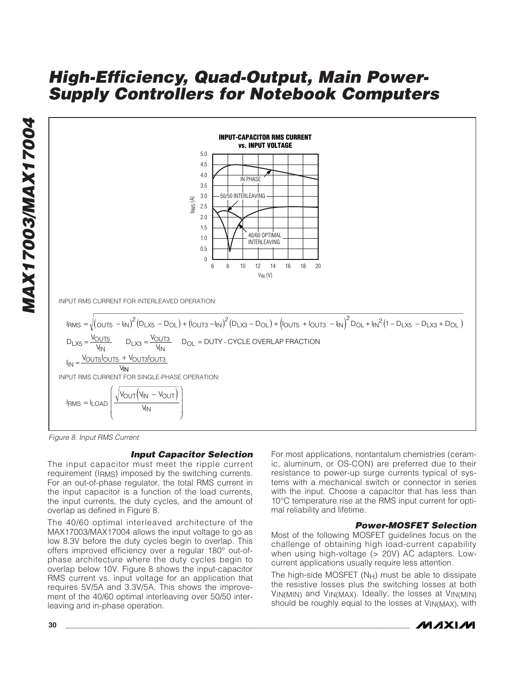

Figure 8. Input RMS Current

#### **Input Capacitor Selection**

The input capacitor must meet the ripple current requirement (IRMS) imposed by the switching currents. For an out-of-phase regulator, the total RMS current in the input capacitor is a function of the load currents, the input currents, the duty cycles, and the amount of overlap as defined in Figure 8.

The 40/60 optimal interleaved architecture of the MAX17003/MAX17004 allows the input voltage to go as low 8.3V before the duty cycles begin to overlap. This offers improved efficiency over a regular 180° out-ofphase architecture where the duty cycles begin to overlap below 10V. Figure 8 shows the input-capacitor RMS current vs. input voltage for an application that requires 5V/5A and 3.3V/5A. This shows the improvement of the 40/60 optimal interleaving over 50/50 interleaving and in-phase operation.

For most applications, nontantalum chemistries (ceramic, aluminum, or OS-CON) are preferred due to their resistance to power-up surge currents typical of systems with a mechanical switch or connector in series with the input. Choose a capacitor that has less than 10°C temperature rise at the RMS input current for optimal reliability and lifetime.

#### **Power-MOSFET Selection**

Most of the following MOSFET guidelines focus on the challenge of obtaining high load-current capability when using high-voltage (> 20V) AC adapters. Lowcurrent applications usually require less attention.

The high-side MOSFET  $(N_H)$  must be able to dissipate the resistive losses plus the switching losses at both VIN(MIN) and VIN(MAX). Ideally, the losses at VIN(MIN) should be roughly equal to the losses at VIN(MAX), with



**MAX17003/MAX17004** MAX17003/MAX17004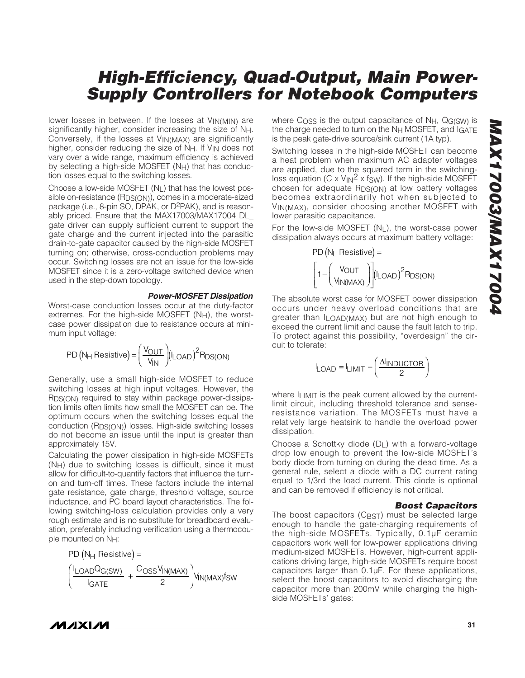lower losses in between. If the losses at VIN(MIN) are significantly higher, consider increasing the size of NH. Conversely, if the losses at VIN(MAX) are significantly higher, consider reducing the size of NH. If V<sub>IN</sub> does not vary over a wide range, maximum efficiency is achieved by selecting a high-side MOSFET  $(N_H)$  that has conduction losses equal to the switching losses.

Choose a low-side MOSFET  $(N<sub>L</sub>)$  that has the lowest possible on-resistance (R<sub>DS(ON)</sub>), comes in a moderate-sized package (i.e., 8-pin SO, DPAK, or D2PAK), and is reasonably priced. Ensure that the MAX17003/MAX17004 DL\_ gate driver can supply sufficient current to support the gate charge and the current injected into the parasitic drain-to-gate capacitor caused by the high-side MOSFET turning on; otherwise, cross-conduction problems may occur. Switching losses are not an issue for the low-side MOSFET since it is a zero-voltage switched device when used in the step-down topology.

#### **Power-MOSFET Dissipation**

Worst-case conduction losses occur at the duty-factor extremes. For the high-side MOSFET (NH), the worstcase power dissipation due to resistance occurs at minimum input voltage:

$$
PD (N_{H} \text{ Resistance}) = \left(\frac{V_{OUT}}{V_{IN}}\right) (I_{LOAD})^{2} R_{DS(ON)}
$$

Generally, use a small high-side MOSFET to reduce switching losses at high input voltages. However, the R<sub>DS(ON)</sub> required to stay within package power-dissipation limits often limits how small the MOSFET can be. The optimum occurs when the switching losses equal the conduction (RDS(ON)) losses. High-side switching losses do not become an issue until the input is greater than approximately 15V.

Calculating the power dissipation in high-side MOSFETs  $(N_H)$  due to switching losses is difficult, since it must allow for difficult-to-quantify factors that influence the turnon and turn-off times. These factors include the internal gate resistance, gate charge, threshold voltage, source inductance, and PC board layout characteristics. The following switching-loss calculation provides only a very rough estimate and is no substitute for breadboard evaluation, preferably including verification using a thermocouple mounted on NH:

$$
PD (N_{H} \text{ Resistance}) =
$$
\n
$$
\left(\frac{I_{LOAD}Q_{G(SW)}}{I_{GATE}} + \frac{C_{OSS}V_{IN(MAX)}}{2}\right) V_{IN(MAX)} f_{SW}
$$

where C<sub>OSS</sub> is the output capacitance of N<sub>H</sub>, Q<sub>G(SW)</sub> is the charge needed to turn on the  $N_H$  MOSFET, and  $I_G$ ATE is the peak gate-drive source/sink current (1A typ).

Switching losses in the high-side MOSFET can become a heat problem when maximum AC adapter voltages are applied, due to the squared term in the switchingloss equation (C x  $V_{\text{IN}}^2$  x fsw). If the high-side MOSFET chosen for adequate RDS(ON) at low battery voltages becomes extraordinarily hot when subjected to VIN(MAX), consider choosing another MOSFET with lower parasitic capacitance.

For the low-side MOSFET  $(N_L)$ , the worst-case power dissipation always occurs at maximum battery voltage:

$$
PD (NL \; Resistance) =
$$
\n
$$
\left[1 - \left(\frac{VOUT}{VIN(MAX)}\right)\right] (LOAD)^{2} RDS(ON)
$$

The absolute worst case for MOSFET power dissipation occurs under heavy overload conditions that are greater than ILOAD(MAX) but are not high enough to exceed the current limit and cause the fault latch to trip. To protect against this possibility, "overdesign" the circuit to tolerate:

$$
I_{\text{LOAD}} = I_{\text{LIMIT}} - \left(\frac{\Delta I_{\text{INDUCTOR}}}{2}\right)
$$

where  $I_{LIMIT}$  is the peak current allowed by the currentlimit circuit, including threshold tolerance and senseresistance variation. The MOSFETs must have a relatively large heatsink to handle the overload power dissipation.

Choose a Schottky diode (DL) with a forward-voltage drop low enough to prevent the low-side MOSFET's body diode from turning on during the dead time. As a general rule, select a diode with a DC current rating equal to 1/3rd the load current. This diode is optional and can be removed if efficiency is not critical.

#### **Boost Capacitors**

The boost capacitors (C<sub>BST</sub>) must be selected large enough to handle the gate-charging requirements of the high-side MOSFETs. Typically, 0.1µF ceramic capacitors work well for low-power applications driving medium-sized MOSFETs. However, high-current applications driving large, high-side MOSFETs require boost capacitors larger than 0.1µF. For these applications, select the boost capacitors to avoid discharging the capacitor more than 200mV while charging the highside MOSFETs' gates: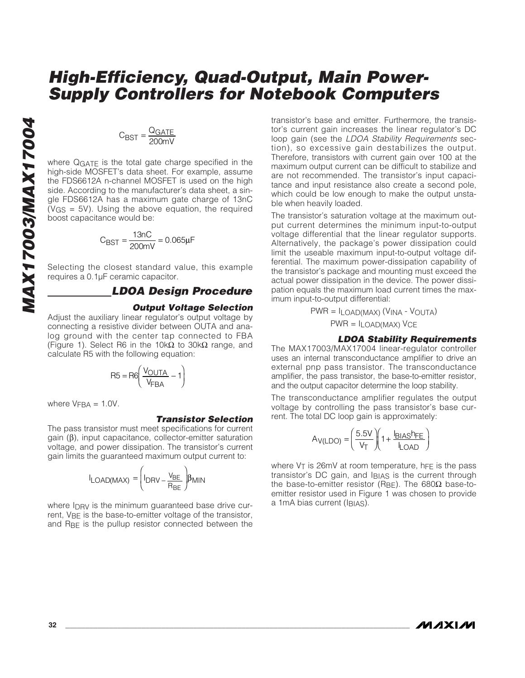# $C_{\text{BST}} = \frac{Q_{\text{GATE}}}{200 \text{mV}}$

where QGATE is the total gate charge specified in the high-side MOSFET's data sheet. For example, assume the FDS6612A n-channel MOSFET is used on the high side. According to the manufacturer's data sheet, a single FDS6612A has a maximum gate charge of 13nC (VGS = 5V). Using the above equation, the required boost capacitance would be:

$$
C_{\text{BST}} = \frac{13nC}{200mV} = 0.065\mu F
$$

Selecting the closest standard value, this example requires a 0.1µF ceramic capacitor.

### **LDOA Design Procedure**

#### **Output Voltage Selection**

Adjust the auxiliary linear regulator's output voltage by connecting a resistive divider between OUTA and analog ground with the center tap connected to FBA (Figure 1). Select R6 in the 10k $\Omega$  to 30k $\Omega$  range, and calculate R5 with the following equation:

$$
R5 = R6 \left( \frac{V_{OUTA}}{V_{FBA}} - 1 \right)
$$

where  $V<sub>FBA</sub> = 1.0V$ .

#### **Transistor Selection**

The pass transistor must meet specifications for current gain (β), input capacitance, collector-emitter saturation voltage, and power dissipation. The transistor's current gain limits the guaranteed maximum output current to:

$$
I_{LOAD(MAX)} = \left(I_{DRV} - \frac{v_{BE}}{R_{BE}}\right)\!\beta_{MIN}
$$

where I<sub>DRV</sub> is the minimum guaranteed base drive current, V<sub>BF</sub> is the base-to-emitter voltage of the transistor, and  $R_{BF}$  is the pullup resistor connected between the transistor's base and emitter. Furthermore, the transistor's current gain increases the linear regulator's DC loop gain (see the LDOA Stability Requirements section), so excessive gain destabilizes the output. Therefore, transistors with current gain over 100 at the maximum output current can be difficult to stabilize and are not recommended. The transistor's input capacitance and input resistance also create a second pole, which could be low enough to make the output unstable when heavily loaded.

The transistor's saturation voltage at the maximum output current determines the minimum input-to-output voltage differential that the linear regulator supports. Alternatively, the package's power dissipation could limit the useable maximum input-to-output voltage differential. The maximum power-dissipation capability of the transistor's package and mounting must exceed the actual power dissipation in the device. The power dissipation equals the maximum load current times the maximum input-to-output differential:

PWR = ILOAD(MAX) (VINA - VOUTA) PWR = ILOAD(MAX) VCE

#### **LDOA Stability Requirements**

The MAX17003/MAX17004 linear-regulator controller uses an internal transconductance amplifier to drive an external pnp pass transistor. The transconductance amplifier, the pass transistor, the base-to-emitter resistor, and the output capacitor determine the loop stability.

The transconductance amplifier regulates the output voltage by controlling the pass transistor's base current. The total DC loop gain is approximately:

$$
A_{V(LDO)} = \left(\frac{5.5V}{V_T}\right)\left(1 + \frac{I_{BIAS}h_{FE}}{I_{LOAD}}\right)
$$

where  $V_T$  is 26mV at room temperature, h $FE$  is the pass transistor's DC gain, and IBIAS is the current through the base-to-emitter resistor (RBE). The 680Ω base-toemitter resistor used in Figure 1 was chosen to provide a 1mA bias current (IBIAS).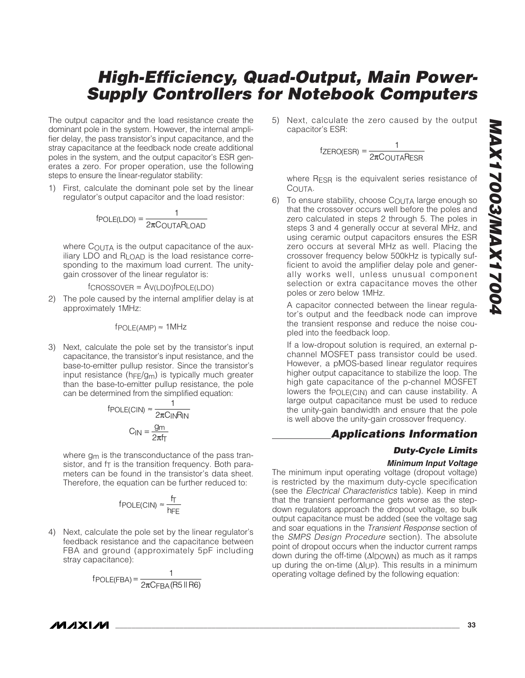The output capacitor and the load resistance create the dominant pole in the system. However, the internal amplifier delay, the pass transistor's input capacitance, and the stray capacitance at the feedback node create additional poles in the system, and the output capacitor's ESR generates a zero. For proper operation, use the following steps to ensure the linear-regulator stability:

1) First, calculate the dominant pole set by the linear regulator's output capacitor and the load resistor:

$$
fpOLE(LDO) = \frac{1}{2\pi C_{OUTA}R_{LOAD}}
$$

where COUTA is the output capacitance of the auxiliary LDO and RLOAD is the load resistance corresponding to the maximum load current. The unitygain crossover of the linear regulator is:

$$
f_{CROSSOVER} = A_{V(LDO)} f_{POLE(LDO)}
$$

2) The pole caused by the internal amplifier delay is at approximately 1MHz:

$$
f_{\text{POLE(AMP)}} \approx 1 MHz
$$

3) Next, calculate the pole set by the transistor's input capacitance, the transistor's input resistance, and the base-to-emitter pullup resistor. Since the transistor's input resistance ( $hFE/gm$ ) is typically much greater than the base-to-emitter pullup resistance, the pole can be determined from the simplified equation:

$$
f_{\text{POLE(CIN)}} \approx \frac{1}{2\pi C_{\text{IN}}R_{\text{IN}}}
$$

$$
C_{\text{IN}} = \frac{g_{\text{m}}}{2\pi f_{\text{T}}}
$$

where  $g_m$  is the transconductance of the pass transistor, and  $f<sub>T</sub>$  is the transition frequency. Both parameters can be found in the transistor's data sheet. Therefore, the equation can be further reduced to:

$$
f_{\text{POLE(CIN)}} \approx \frac{f_T}{h_{\text{FE}}}
$$

4) Next, calculate the pole set by the linear regulator's feedback resistance and the capacitance between FBA and ground (approximately 5pF including stray capacitance):

$$
f_{\text{POLE(FBA)}} = \frac{1}{2\pi C_{\text{FBA}}(\text{RS IIR6})}
$$

5) Next, calculate the zero caused by the output capacitor's ESR:

$$
f_{\text{ZERO(ESR)}} = \frac{1}{2\pi C_{\text{OUTA}} \text{ResR}}
$$

where RESR is the equivalent series resistance of COUTA.

6) To ensure stability, choose COUTA large enough so that the crossover occurs well before the poles and zero calculated in steps 2 through 5. The poles in steps 3 and 4 generally occur at several MHz, and using ceramic output capacitors ensures the ESR zero occurs at several MHz as well. Placing the crossover frequency below 500kHz is typically sufficient to avoid the amplifier delay pole and generally works well, unless unusual component selection or extra capacitance moves the other poles or zero below 1MHz.

A capacitor connected between the linear regulator's output and the feedback node can improve the transient response and reduce the noise coupled into the feedback loop.

If a low-dropout solution is required, an external pchannel MOSFET pass transistor could be used. However, a pMOS-based linear regulator requires higher output capacitance to stabilize the loop. The high gate capacitance of the p-channel MOSFET lowers the fpoLE(CIN) and can cause instability. A large output capacitance must be used to reduce the unity-gain bandwidth and ensure that the pole is well above the unity-gain crossover frequency.

### **Applications Information**

### **Duty-Cycle Limits**

#### **Minimum Input Voltage**

The minimum input operating voltage (dropout voltage) is restricted by the maximum duty-cycle specification (see the Electrical Characteristics table). Keep in mind that the transient performance gets worse as the stepdown regulators approach the dropout voltage, so bulk output capacitance must be added (see the voltage sag and soar equations in the Transient Response section of the SMPS Design Procedure section). The absolute point of dropout occurs when the inductor current ramps down during the off-time (ΔIDOWN) as much as it ramps up during the on-time (ΔIUP). This results in a minimum operating voltage defined by the following equation:

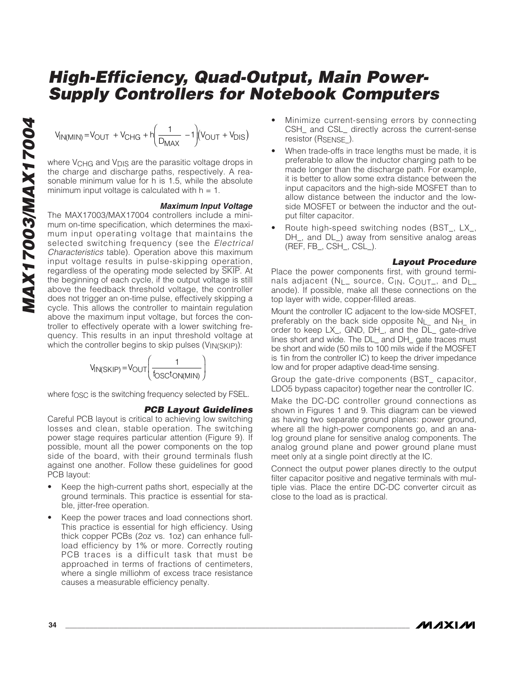$$
V_{IN(MIN)} = V_{OUT} + V_{CHG} + h \left(\frac{1}{D_{MAX}} - 1\right) (V_{OUT} + V_{DIS})
$$

where V<sub>CHG</sub> and V<sub>DIS</sub> are the parasitic voltage drops in the charge and discharge paths, respectively. A reasonable minimum value for h is 1.5, while the absolute minimum input voltage is calculated with  $h = 1$ .

#### **Maximum Input Voltage**

The MAX17003/MAX17004 controllers include a minimum on-time specification, which determines the maximum input operating voltage that maintains the selected switching frequency (see the *Electrical* Characteristics table). Operation above this maximum input voltage results in pulse-skipping operation, regardless of the operating mode selected by SKIP. At the beginning of each cycle, if the output voltage is still above the feedback threshold voltage, the controller does not trigger an on-time pulse, effectively skipping a cycle. This allows the controller to maintain regulation above the maximum input voltage, but forces the controller to effectively operate with a lower switching frequency. This results in an input threshold voltage at which the controller begins to skip pulses (VIN(SKIP)):



where f<sub>OSC</sub> is the switching frequency selected by FSEL.

### **PCB Layout Guidelines**

Careful PCB layout is critical to achieving low switching losses and clean, stable operation. The switching power stage requires particular attention (Figure 9). If possible, mount all the power components on the top side of the board, with their ground terminals flush against one another. Follow these guidelines for good PCB layout:

- Keep the high-current paths short, especially at the ground terminals. This practice is essential for stable, jitter-free operation.
- Keep the power traces and load connections short. This practice is essential for high efficiency. Using thick copper PCBs (2oz vs. 1oz) can enhance fullload efficiency by 1% or more. Correctly routing PCB traces is a difficult task that must be approached in terms of fractions of centimeters, where a single milliohm of excess trace resistance causes a measurable efficiency penalty.
- Minimize current-sensing errors by connecting CSH\_ and CSL\_ directly across the current-sense resistor (R<sub>SENSE</sub>).
- When trade-offs in trace lengths must be made, it is preferable to allow the inductor charging path to be made longer than the discharge path. For example, it is better to allow some extra distance between the input capacitors and the high-side MOSFET than to allow distance between the inductor and the lowside MOSFET or between the inductor and the output filter capacitor.
- Route high-speed switching nodes (BST\_, LX\_, DH\_, and DL\_) away from sensitive analog areas (REF, FB\_, CSH\_, CSL\_).

#### **Layout Procedure**

Place the power components first, with ground terminals adjacent (NL\_ source, CIN, COUT\_, and DL\_ anode). If possible, make all these connections on the top layer with wide, copper-filled areas.

Mount the controller IC adjacent to the low-side MOSFET, preferably on the back side opposite NL\_ and NH\_ in order to keep LX\_, GND, DH\_, and the DL\_ gate-drive lines short and wide. The DL\_ and DH\_ gate traces must be short and wide (50 mils to 100 mils wide if the MOSFET is 1in from the controller IC) to keep the driver impedance low and for proper adaptive dead-time sensing.

Group the gate-drive components (BST\_ capacitor, LDO5 bypass capacitor) together near the controller IC.

Make the DC-DC controller ground connections as shown in Figures 1 and 9. This diagram can be viewed as having two separate ground planes: power ground, where all the high-power components go, and an analog ground plane for sensitive analog components. The analog ground plane and power ground plane must meet only at a single point directly at the IC.

Connect the output power planes directly to the output filter capacitor positive and negative terminals with multiple vias. Place the entire DC-DC converter circuit as close to the load as is practical.

/VI/IXI/VI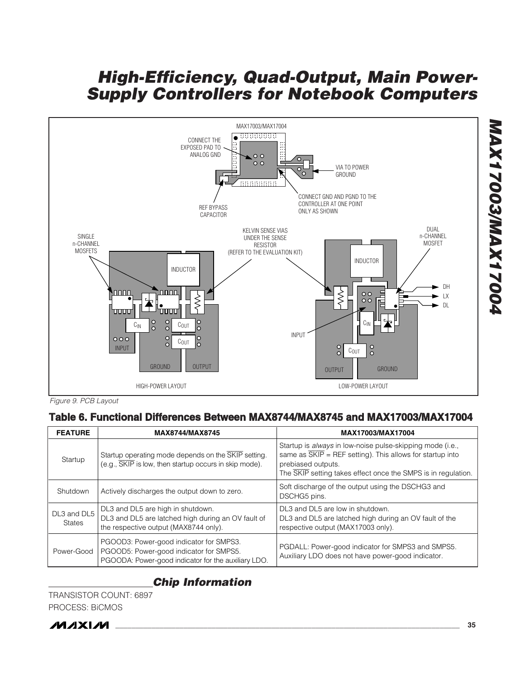

Figure 9. PCB Layout

### **Table 6. Functional Differences Between MAX8744/MAX8745 and MAX17003/MAX17004**

| <b>FEATURE</b>               | MAX8744/MAX8745                                                                                                                           | MAX17003/MAX17004                                                                                                                                                                                                                        |  |
|------------------------------|-------------------------------------------------------------------------------------------------------------------------------------------|------------------------------------------------------------------------------------------------------------------------------------------------------------------------------------------------------------------------------------------|--|
| Startup                      | Startup operating mode depends on the SKIP setting.<br>$(e.g., \overline{SKIP}$ is low, then startup occurs in skip mode).                | Startup is <i>always</i> in low-noise pulse-skipping mode (i.e.,<br>same as $\overline{\text{SKIP}}$ = REF setting). This allows for startup into<br>prebiased outputs.<br>The SKIP setting takes effect once the SMPS is in regulation. |  |
| Shutdown                     | Actively discharges the output down to zero.                                                                                              | Soft discharge of the output using the DSCHG3 and<br>DSCHG5 pins.                                                                                                                                                                        |  |
| DL3 and DL5<br><b>States</b> | DL3 and DL5 are high in shutdown.<br>DL3 and DL5 are latched high during an OV fault of<br>the respective output (MAX8744 only).          | DL3 and DL5 are low in shutdown.<br>DL3 and DL5 are latched high during an OV fault of the<br>respective output (MAX17003 only).                                                                                                         |  |
| Power-Good                   | PGOOD3: Power-good indicator for SMPS3.<br>PGOOD5: Power-good indicator for SMPS5.<br>PGOODA: Power-good indicator for the auxiliary LDO. | PGDALL: Power-good indicator for SMPS3 and SMPS5.<br>Auxiliary LDO does not have power-good indicator.                                                                                                                                   |  |

### **Chip Information**

TRANSISTOR COUNT: 6897 PROCESS: BiCMOS



**MAX17003/MAX17004**

**POOZIXVWWSOOZIXVW**